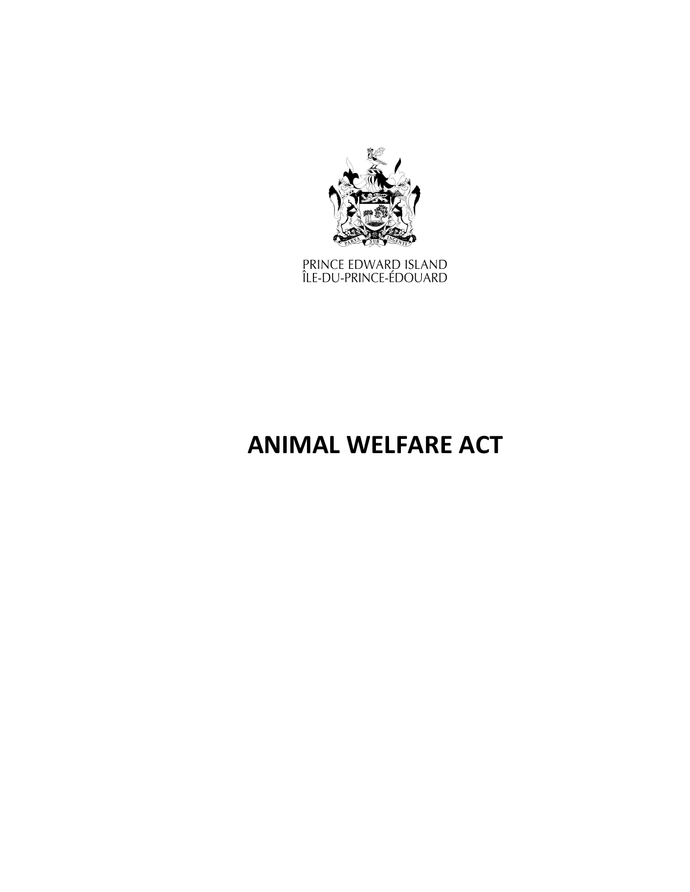

PRINCE EDWARD ISLAND<br>ÎLE-DU-PRINCE-ÉDOUARD

# **ANIMAL WELFARE ACT**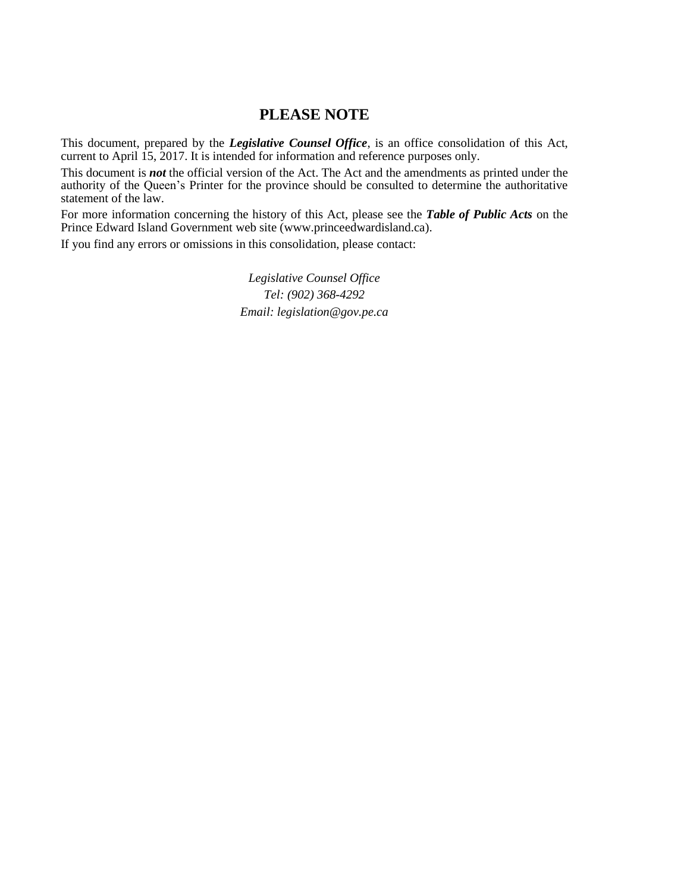# **PLEASE NOTE**

This document, prepared by the *[Legislative](http://www.gov.pe.ca/jps/index.php3?number=1027247) Counsel Office*, is an office consolidation of this Act, current to April 15, 2017. It is intended for information and reference purposes only.

This document is *not* the official version of the Act. The Act and the amendments as printed under the authority of the Queen's Printer for the province should be consulted to determine the authoritative statement of the law.

For more information concerning the history of this Act, please see the *[Table of Public Acts](https://www.princeedwardisland.ca/sites/default/files/publications/leg_table_acts.pdf)* on the Prince Edward Island Government web site (www.princeedwardisland.ca).

If you find any errors or omissions in this consolidation, please contact:

*Legislative Counsel Office Tel: (902) 368-4292 Email: legislation@gov.pe.ca*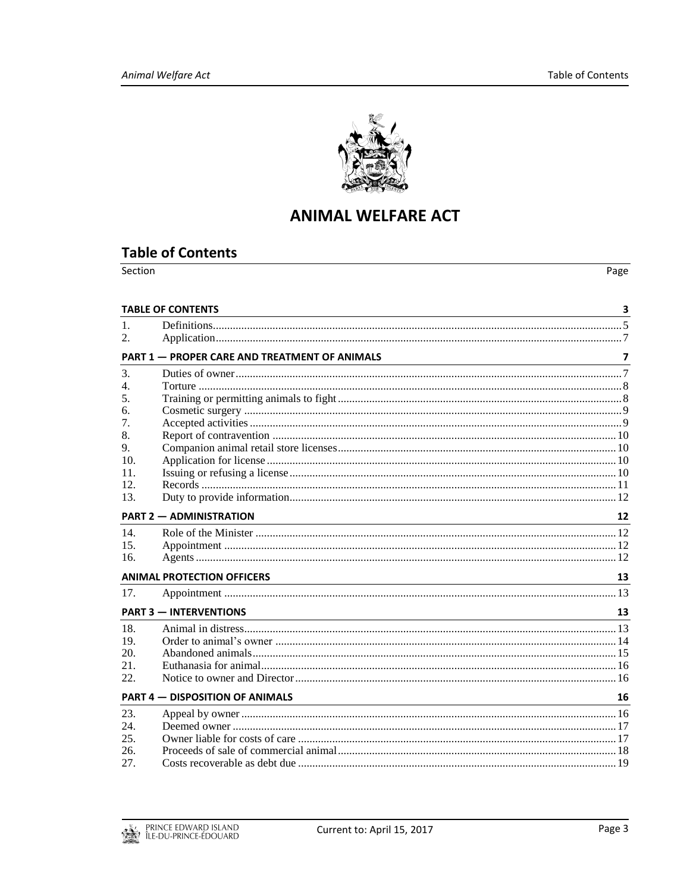

# **ANIMAL WELFARE ACT**

# <span id="page-2-0"></span>**Table of Contents**

| Section | Page |
|---------|------|
|         |      |

|                  | <b>TABLE OF CONTENTS</b>                                                                                                                                                                                                                                           |    |
|------------------|--------------------------------------------------------------------------------------------------------------------------------------------------------------------------------------------------------------------------------------------------------------------|----|
| $\mathbf{1}$ .   |                                                                                                                                                                                                                                                                    |    |
| 2.               |                                                                                                                                                                                                                                                                    |    |
|                  | <b>PART 1 - PROPER CARE AND TREATMENT OF ANIMALS</b>                                                                                                                                                                                                               | 7  |
| 3.               |                                                                                                                                                                                                                                                                    |    |
| $\overline{4}$ . |                                                                                                                                                                                                                                                                    |    |
| 5.               |                                                                                                                                                                                                                                                                    |    |
| 6.               |                                                                                                                                                                                                                                                                    |    |
| 7.               |                                                                                                                                                                                                                                                                    |    |
| 8.               |                                                                                                                                                                                                                                                                    |    |
| 9.               |                                                                                                                                                                                                                                                                    |    |
| 10.              |                                                                                                                                                                                                                                                                    |    |
| 11.              |                                                                                                                                                                                                                                                                    |    |
| 12.              |                                                                                                                                                                                                                                                                    |    |
| 13.              |                                                                                                                                                                                                                                                                    |    |
|                  | <b>PART 2 - ADMINISTRATION</b>                                                                                                                                                                                                                                     | 12 |
| 14.              |                                                                                                                                                                                                                                                                    |    |
| 15.              |                                                                                                                                                                                                                                                                    |    |
| 16.              |                                                                                                                                                                                                                                                                    |    |
|                  | <b>ANIMAL PROTECTION OFFICERS</b><br>the control of the control of the control of the control of the control of the control of the control of the control of the control of the control of the control of the control of the control of the control of the control | 13 |
| 17.              |                                                                                                                                                                                                                                                                    |    |
|                  | <b>PART 3 - INTERVENTIONS</b>                                                                                                                                                                                                                                      | 13 |
| 18.              |                                                                                                                                                                                                                                                                    |    |
| 19.              |                                                                                                                                                                                                                                                                    |    |
| 20.              |                                                                                                                                                                                                                                                                    |    |
| 21.              |                                                                                                                                                                                                                                                                    |    |
| 22.              |                                                                                                                                                                                                                                                                    |    |
|                  | <b>PART 4 – DISPOSITION OF ANIMALS</b>                                                                                                                                                                                                                             | 16 |
| 23.              |                                                                                                                                                                                                                                                                    |    |
| 24.              |                                                                                                                                                                                                                                                                    |    |
| 25.              |                                                                                                                                                                                                                                                                    |    |
| 26.              |                                                                                                                                                                                                                                                                    |    |
| 27.              |                                                                                                                                                                                                                                                                    |    |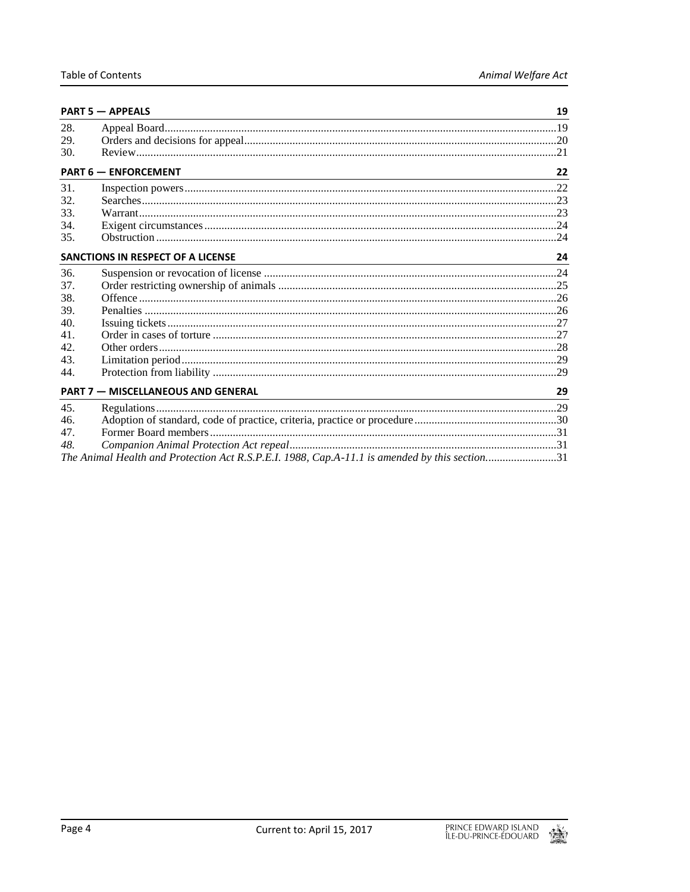|                                                                                                                                                              | <b>PART 5 - APPEALS</b><br>and the control of the control of the control of the control of the control of the control of the control of the |    |
|--------------------------------------------------------------------------------------------------------------------------------------------------------------|---------------------------------------------------------------------------------------------------------------------------------------------|----|
| 28.                                                                                                                                                          |                                                                                                                                             |    |
| 29.                                                                                                                                                          |                                                                                                                                             |    |
| 30.                                                                                                                                                          |                                                                                                                                             |    |
| <b>PART 6 - ENFORCEMENT</b>                                                                                                                                  |                                                                                                                                             | 22 |
| 31.                                                                                                                                                          |                                                                                                                                             |    |
| 32.                                                                                                                                                          |                                                                                                                                             |    |
| 33.                                                                                                                                                          |                                                                                                                                             |    |
| 34.                                                                                                                                                          |                                                                                                                                             |    |
| 35.                                                                                                                                                          |                                                                                                                                             |    |
| <b>SANCTIONS IN RESPECT OF A LICENSE</b><br>and the control of the control of the control of the control of the control of the control of the control of the |                                                                                                                                             | 24 |
| 36.                                                                                                                                                          |                                                                                                                                             |    |
| 37.                                                                                                                                                          |                                                                                                                                             |    |
| 38.                                                                                                                                                          |                                                                                                                                             |    |
| 39.                                                                                                                                                          |                                                                                                                                             |    |
| 40.                                                                                                                                                          |                                                                                                                                             |    |
| 41.                                                                                                                                                          |                                                                                                                                             |    |
| 42.                                                                                                                                                          |                                                                                                                                             |    |
| 43.                                                                                                                                                          |                                                                                                                                             |    |
| 44.                                                                                                                                                          |                                                                                                                                             |    |
| <b>PART 7 - MISCELLANEOUS AND GENERAL</b>                                                                                                                    |                                                                                                                                             | 29 |
| 45.                                                                                                                                                          |                                                                                                                                             |    |
| 46.                                                                                                                                                          |                                                                                                                                             |    |
| 47.                                                                                                                                                          |                                                                                                                                             |    |
| 48.                                                                                                                                                          |                                                                                                                                             |    |
|                                                                                                                                                              | The Animal Health and Protection Act R.S.P.E.I. 1988, Cap.A-11.1 is amended by this section31                                               |    |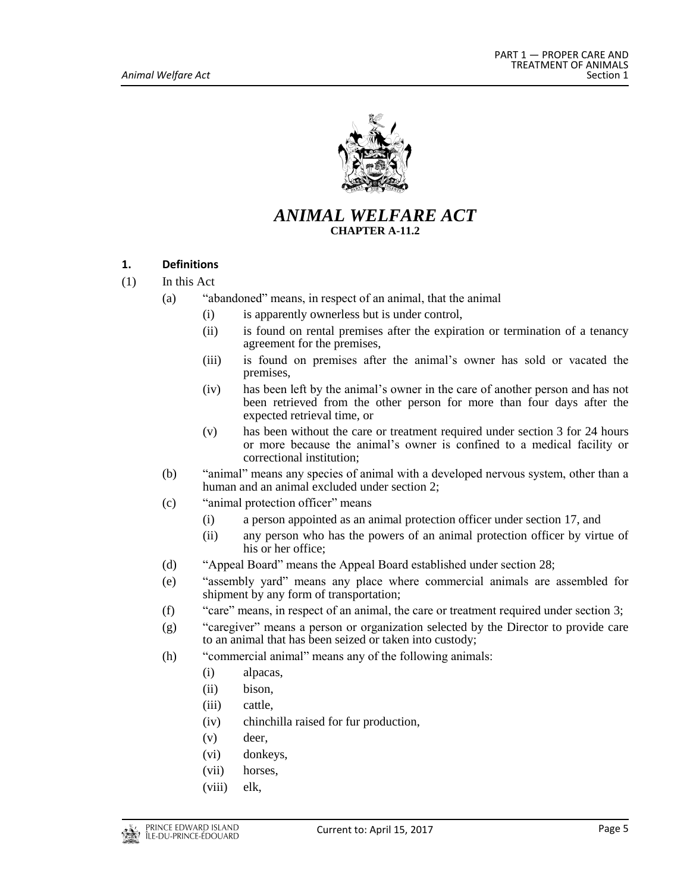

# *ANIMAL WELFARE ACT* **CHAPTER A-11.2**

# <span id="page-4-0"></span>**1. Definitions**

- (1) In this Act
	- (a) "abandoned" means, in respect of an animal, that the animal
		- (i) is apparently ownerless but is under control,
		- (ii) is found on rental premises after the expiration or termination of a tenancy agreement for the premises,
		- (iii) is found on premises after the animal's owner has sold or vacated the premises,
		- (iv) has been left by the animal's owner in the care of another person and has not been retrieved from the other person for more than four days after the expected retrieval time, or
		- (v) has been without the care or treatment required under section 3 for 24 hours or more because the animal's owner is confined to a medical facility or correctional institution;
	- (b) "animal" means any species of animal with a developed nervous system, other than a human and an animal excluded under section 2;
	- (c) "animal protection officer" means
		- (i) a person appointed as an animal protection officer under section 17, and
		- (ii) any person who has the powers of an animal protection officer by virtue of his or her office;
	- (d) "Appeal Board" means the Appeal Board established under section 28;
	- (e) "assembly yard" means any place where commercial animals are assembled for shipment by any form of transportation;
	- (f) "care" means, in respect of an animal, the care or treatment required under section 3;
	- (g) "caregiver" means a person or organization selected by the Director to provide care to an animal that has been seized or taken into custody;
	- (h) "commercial animal" means any of the following animals:
		- (i) alpacas,
		- (ii) bison,
		- (iii) cattle,
		- (iv) chinchilla raised for fur production,
		- (v) deer,
		- (vi) donkeys,
		- (vii) horses,
		- (viii) elk,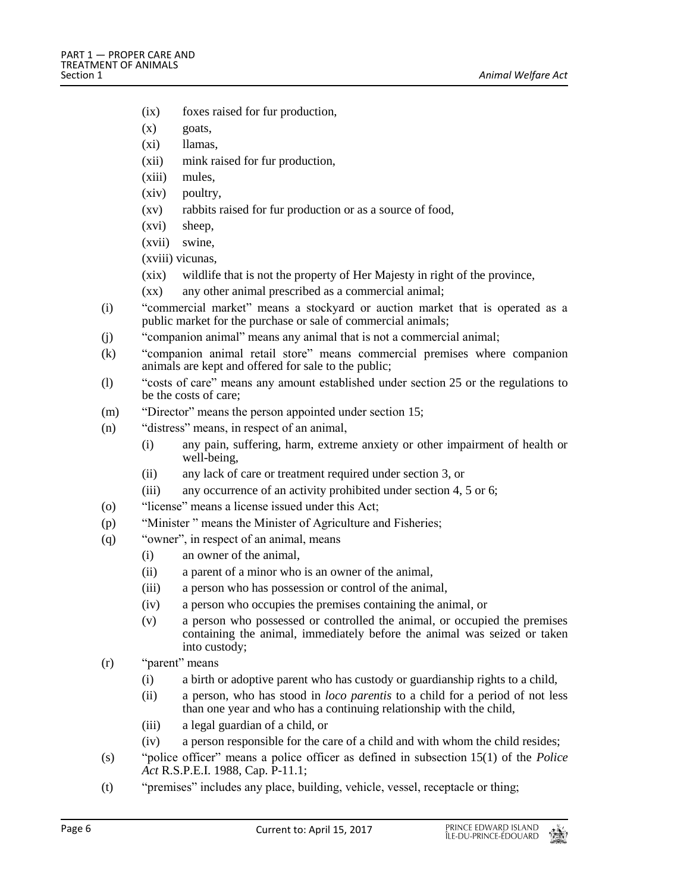- (ix) foxes raised for fur production,
- $(x)$  goats,
- (xi) llamas,
- (xii) mink raised for fur production,
- (xiii) mules,
- (xiv) poultry,
- (xv) rabbits raised for fur production or as a source of food,
- (xvi) sheep,
- (xvii) swine,
- (xviii) vicunas,
- (xix) wildlife that is not the property of Her Majesty in right of the province,
- (xx) any other animal prescribed as a commercial animal;
- (i) "commercial market" means a stockyard or auction market that is operated as a public market for the purchase or sale of commercial animals;
- (j) "companion animal" means any animal that is not a commercial animal;
- (k) "companion animal retail store" means commercial premises where companion animals are kept and offered for sale to the public;
- (l) "costs of care" means any amount established under section 25 or the regulations to be the costs of care;
- (m) "Director" means the person appointed under section 15;
- (n) "distress" means, in respect of an animal,
	- (i) any pain, suffering, harm, extreme anxiety or other impairment of health or well-being,
	- (ii) any lack of care or treatment required under section 3, or
	- (iii) any occurrence of an activity prohibited under section 4, 5 or 6;
- (o) "license" means a license issued under this Act;
- (p) "Minister " means the Minister of Agriculture and Fisheries;
- (q) "owner", in respect of an animal, means
	- (i) an owner of the animal,
	- (ii) a parent of a minor who is an owner of the animal,
	- (iii) a person who has possession or control of the animal,
	- (iv) a person who occupies the premises containing the animal, or
	- (v) a person who possessed or controlled the animal, or occupied the premises containing the animal, immediately before the animal was seized or taken into custody;
- (r) "parent" means
	- (i) a birth or adoptive parent who has custody or guardianship rights to a child,
	- (ii) a person, who has stood in *loco parentis* to a child for a period of not less than one year and who has a continuing relationship with the child,
	- (iii) a legal guardian of a child, or
	- (iv) a person responsible for the care of a child and with whom the child resides;
- (s) "police officer" means a police officer as defined in subsection 15(1) of the *Police Act* R.S.P.E.I. 1988, Cap. P-11.1;
- (t) "premises" includes any place, building, vehicle, vessel, receptacle or thing;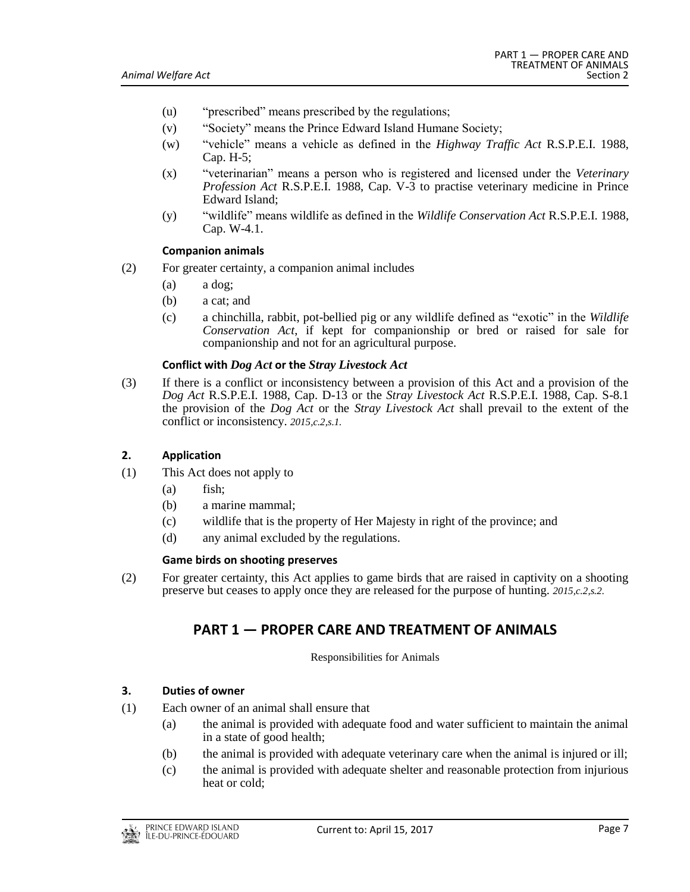- (u) "prescribed" means prescribed by the regulations;
- (v) "Society" means the Prince Edward Island Humane Society;
- (w) "vehicle" means a vehicle as defined in the *Highway Traffic Act* R.S.P.E.I. 1988, Cap. H-5;
- (x) "veterinarian" means a person who is registered and licensed under the *Veterinary Profession Act* R.S.P.E.I. 1988, Cap. V-3 to practise veterinary medicine in Prince Edward Island;
- (y) "wildlife" means wildlife as defined in the *Wildlife Conservation Act* R.S.P.E.I. 1988, Cap. W-4.1.

#### **Companion animals**

- (2) For greater certainty, a companion animal includes
	- (a) a dog;
	- (b) a cat; and
	- (c) a chinchilla, rabbit, pot-bellied pig or any wildlife defined as "exotic" in the *Wildlife Conservation Act*, if kept for companionship or bred or raised for sale for companionship and not for an agricultural purpose.

# **Conflict with** *Dog Act* **or the** *Stray Livestock Act*

(3) If there is a conflict or inconsistency between a provision of this Act and a provision of the *Dog Act* R.S.P.E.I. 1988, Cap. D-13 or the *Stray Livestock Act* R.S.P.E.I. 1988, Cap. S-8.1 the provision of the *Dog Act* or the *Stray Livestock Act* shall prevail to the extent of the conflict or inconsistency. *2015,c.2,s.1.*

# <span id="page-6-0"></span>**2. Application**

- (1) This Act does not apply to
	- (a) fish;
	- (b) a marine mammal;
	- (c) wildlife that is the property of Her Majesty in right of the province; and
	- (d) any animal excluded by the regulations.

#### **Game birds on shooting preserves**

<span id="page-6-1"></span>(2) For greater certainty, this Act applies to game birds that are raised in captivity on a shooting preserve but ceases to apply once they are released for the purpose of hunting. *2015,c.2,s.2.*

# **PART 1 — PROPER CARE AND TREATMENT OF ANIMALS**

Responsibilities for Animals

#### <span id="page-6-2"></span>**3. Duties of owner**

- (1) Each owner of an animal shall ensure that
	- (a) the animal is provided with adequate food and water sufficient to maintain the animal in a state of good health;
	- (b) the animal is provided with adequate veterinary care when the animal is injured or ill;
	- (c) the animal is provided with adequate shelter and reasonable protection from injurious heat or cold;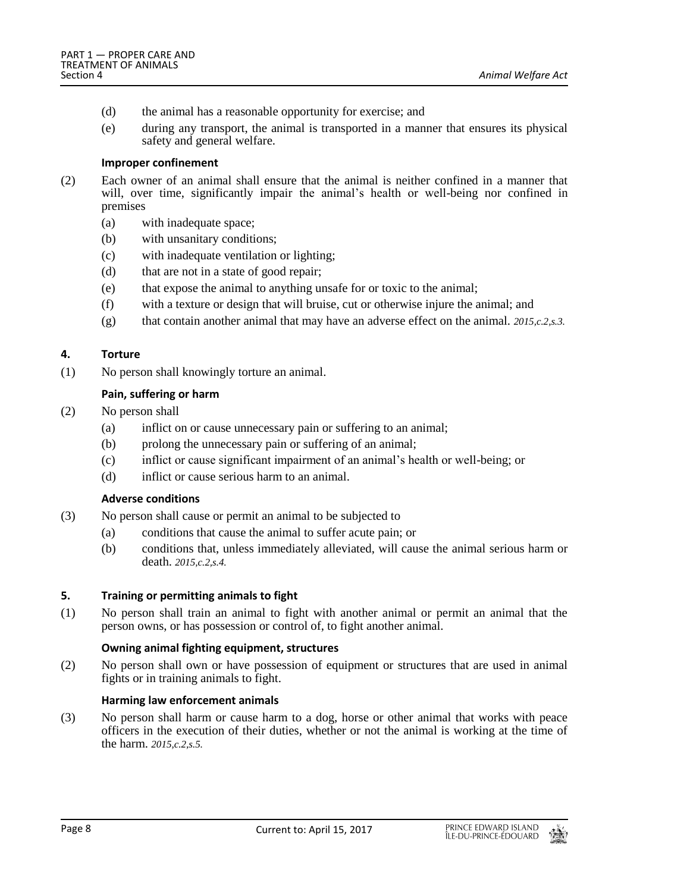- (d) the animal has a reasonable opportunity for exercise; and
- (e) during any transport, the animal is transported in a manner that ensures its physical safety and general welfare.

# **Improper confinement**

- (2) Each owner of an animal shall ensure that the animal is neither confined in a manner that will, over time, significantly impair the animal's health or well-being nor confined in premises
	- (a) with inadequate space;
	- (b) with unsanitary conditions;
	- (c) with inadequate ventilation or lighting;
	- (d) that are not in a state of good repair;
	- (e) that expose the animal to anything unsafe for or toxic to the animal;
	- (f) with a texture or design that will bruise, cut or otherwise injure the animal; and
	- (g) that contain another animal that may have an adverse effect on the animal. *2015,c.2,s.3.*

# <span id="page-7-0"></span>**4. Torture**

(1) No person shall knowingly torture an animal.

# **Pain, suffering or harm**

- (2) No person shall
	- (a) inflict on or cause unnecessary pain or suffering to an animal;
	- (b) prolong the unnecessary pain or suffering of an animal;
	- (c) inflict or cause significant impairment of an animal's health or well-being; or
	- (d) inflict or cause serious harm to an animal.

# **Adverse conditions**

- (3) No person shall cause or permit an animal to be subjected to
	- (a) conditions that cause the animal to suffer acute pain; or
	- (b) conditions that, unless immediately alleviated, will cause the animal serious harm or death. *2015,c.2,s.4.*

# <span id="page-7-1"></span>**5. Training or permitting animals to fight**

(1) No person shall train an animal to fight with another animal or permit an animal that the person owns, or has possession or control of, to fight another animal.

# **Owning animal fighting equipment, structures**

(2) No person shall own or have possession of equipment or structures that are used in animal fights or in training animals to fight.

# **Harming law enforcement animals**

(3) No person shall harm or cause harm to a dog, horse or other animal that works with peace officers in the execution of their duties, whether or not the animal is working at the time of the harm. *2015,c.2,s.5.*

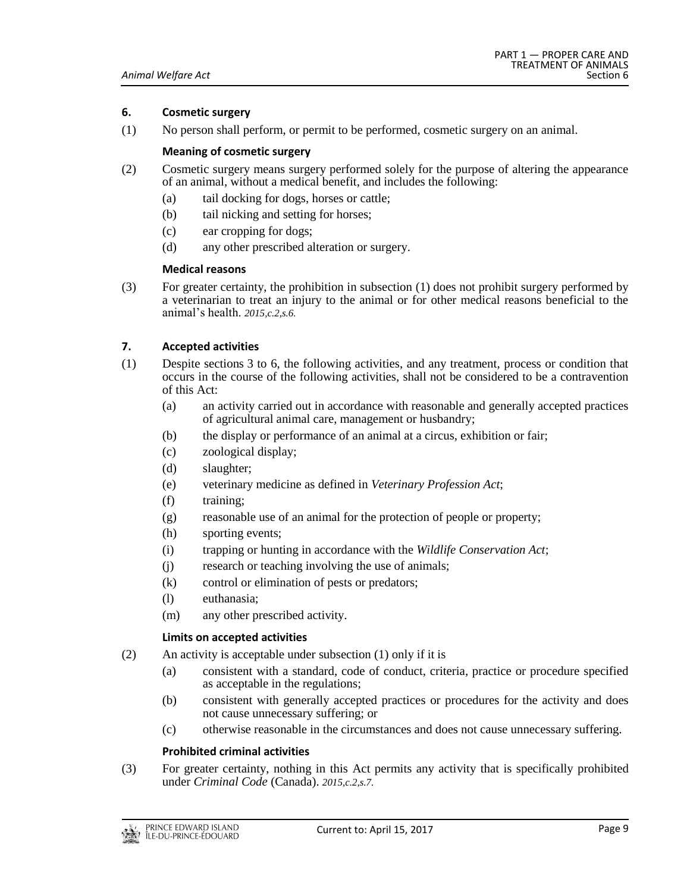# <span id="page-8-0"></span>**6. Cosmetic surgery**

(1) No person shall perform, or permit to be performed, cosmetic surgery on an animal.

### **Meaning of cosmetic surgery**

- (2) Cosmetic surgery means surgery performed solely for the purpose of altering the appearance of an animal, without a medical benefit, and includes the following:
	- (a) tail docking for dogs, horses or cattle;
	- (b) tail nicking and setting for horses;
	- (c) ear cropping for dogs;
	- (d) any other prescribed alteration or surgery.

# **Medical reasons**

(3) For greater certainty, the prohibition in subsection (1) does not prohibit surgery performed by a veterinarian to treat an injury to the animal or for other medical reasons beneficial to the animal's health. *2015,c.2,s.6.*

# <span id="page-8-1"></span>**7. Accepted activities**

- (1) Despite sections 3 to 6, the following activities, and any treatment, process or condition that occurs in the course of the following activities, shall not be considered to be a contravention of this Act:
	- (a) an activity carried out in accordance with reasonable and generally accepted practices of agricultural animal care, management or husbandry;
	- (b) the display or performance of an animal at a circus, exhibition or fair;
	- (c) zoological display;
	- (d) slaughter;
	- (e) veterinary medicine as defined in *Veterinary Profession Act*;
	- (f) training;
	- (g) reasonable use of an animal for the protection of people or property;
	- (h) sporting events;
	- (i) trapping or hunting in accordance with the *Wildlife Conservation Act*;
	- (j) research or teaching involving the use of animals;
	- (k) control or elimination of pests or predators;
	- (l) euthanasia;
	- (m) any other prescribed activity.

#### **Limits on accepted activities**

- (2) An activity is acceptable under subsection (1) only if it is
	- (a) consistent with a standard, code of conduct, criteria, practice or procedure specified as acceptable in the regulations;
	- (b) consistent with generally accepted practices or procedures for the activity and does not cause unnecessary suffering; or
	- (c) otherwise reasonable in the circumstances and does not cause unnecessary suffering.

# **Prohibited criminal activities**

(3) For greater certainty, nothing in this Act permits any activity that is specifically prohibited under *Criminal Code* (Canada). *2015,c.2,s.7.*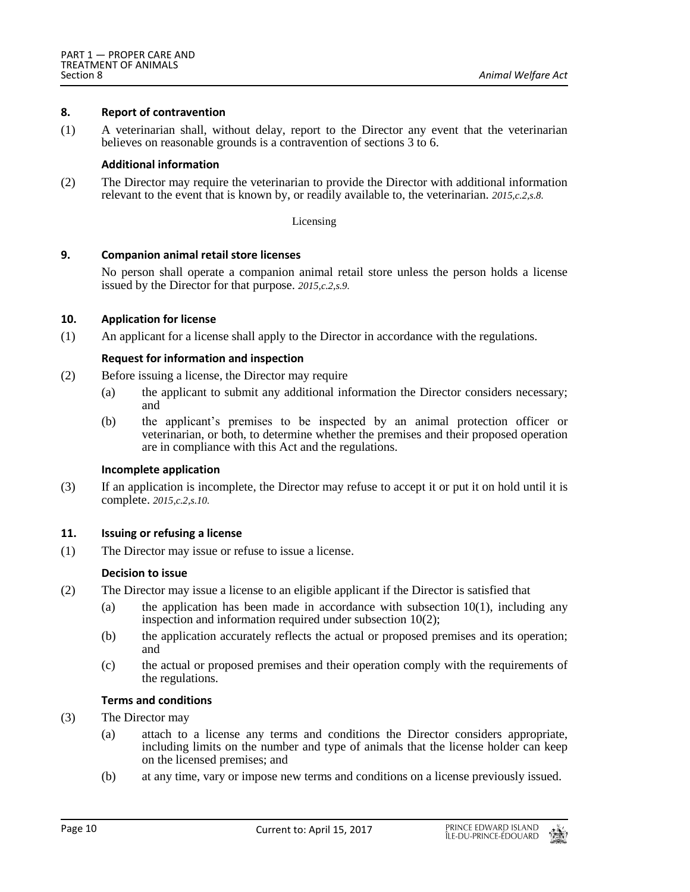### <span id="page-9-0"></span>**8. Report of contravention**

(1) A veterinarian shall, without delay, report to the Director any event that the veterinarian believes on reasonable grounds is a contravention of sections 3 to 6.

# **Additional information**

(2) The Director may require the veterinarian to provide the Director with additional information relevant to the event that is known by, or readily available to, the veterinarian. *2015,c.2,s.8.*

#### Licensing

# <span id="page-9-1"></span>**9. Companion animal retail store licenses**

No person shall operate a companion animal retail store unless the person holds a license issued by the Director for that purpose. *2015,c.2,s.9.*

# <span id="page-9-2"></span>**10. Application for license**

(1) An applicant for a license shall apply to the Director in accordance with the regulations.

# **Request for information and inspection**

- (2) Before issuing a license, the Director may require
	- (a) the applicant to submit any additional information the Director considers necessary; and
	- (b) the applicant's premises to be inspected by an animal protection officer or veterinarian, or both, to determine whether the premises and their proposed operation are in compliance with this Act and the regulations.

#### **Incomplete application**

(3) If an application is incomplete, the Director may refuse to accept it or put it on hold until it is complete. *2015,c.2,s.10.*

# <span id="page-9-3"></span>**11. Issuing or refusing a license**

(1) The Director may issue or refuse to issue a license.

# **Decision to issue**

- (2) The Director may issue a license to an eligible applicant if the Director is satisfied that
	- (a) the application has been made in accordance with subsection  $10(1)$ , including any inspection and information required under subsection 10(2);
	- (b) the application accurately reflects the actual or proposed premises and its operation; and
	- (c) the actual or proposed premises and their operation comply with the requirements of the regulations.

#### **Terms and conditions**

- (3) The Director may
	- (a) attach to a license any terms and conditions the Director considers appropriate, including limits on the number and type of animals that the license holder can keep on the licensed premises; and
	- (b) at any time, vary or impose new terms and conditions on a license previously issued.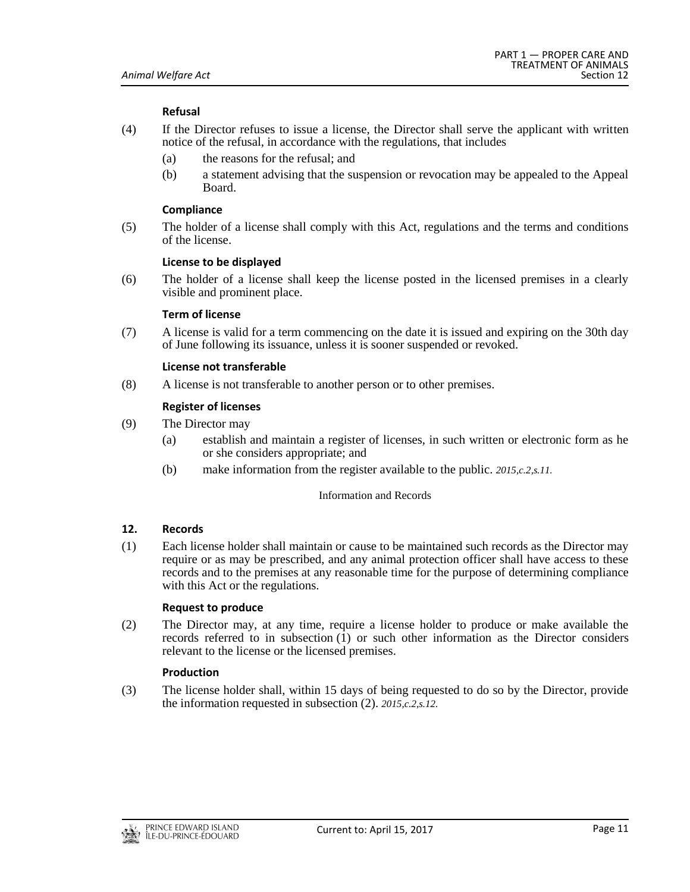# **Refusal**

- (4) If the Director refuses to issue a license, the Director shall serve the applicant with written notice of the refusal, in accordance with the regulations, that includes
	- (a) the reasons for the refusal; and
	- (b) a statement advising that the suspension or revocation may be appealed to the Appeal Board.

#### **Compliance**

(5) The holder of a license shall comply with this Act, regulations and the terms and conditions of the license.

#### **License to be displayed**

(6) The holder of a license shall keep the license posted in the licensed premises in a clearly visible and prominent place.

# **Term of license**

(7) A license is valid for a term commencing on the date it is issued and expiring on the 30th day of June following its issuance, unless it is sooner suspended or revoked.

# **License not transferable**

(8) A license is not transferable to another person or to other premises.

# **Register of licenses**

- (9) The Director may
	- (a) establish and maintain a register of licenses, in such written or electronic form as he or she considers appropriate; and
	- (b) make information from the register available to the public. *2015,c.2,s.11.*

#### Information and Records

# <span id="page-10-0"></span>**12. Records**

(1) Each license holder shall maintain or cause to be maintained such records as the Director may require or as may be prescribed, and any animal protection officer shall have access to these records and to the premises at any reasonable time for the purpose of determining compliance with this Act or the regulations.

#### **Request to produce**

(2) The Director may, at any time, require a license holder to produce or make available the records referred to in subsection (1) or such other information as the Director considers relevant to the license or the licensed premises.

# **Production**

(3) The license holder shall, within 15 days of being requested to do so by the Director, provide the information requested in subsection (2). *2015,c.2,s.12.*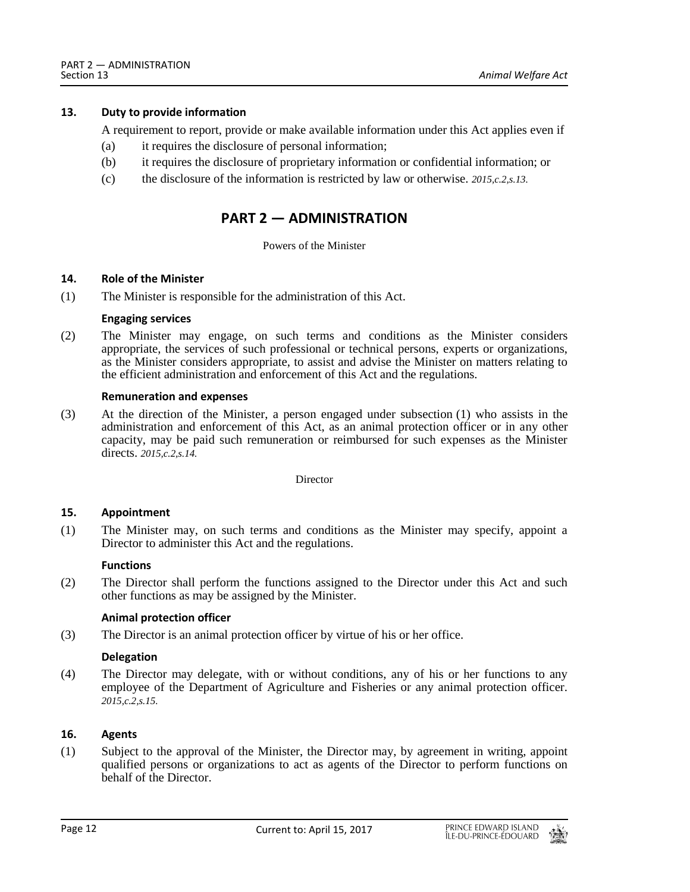# <span id="page-11-0"></span>**13. Duty to provide information**

A requirement to report, provide or make available information under this Act applies even if

- (a) it requires the disclosure of personal information;
- (b) it requires the disclosure of proprietary information or confidential information; or
- <span id="page-11-1"></span>(c) the disclosure of the information is restricted by law or otherwise. *2015,c.2,s.13.*

# **PART 2 — ADMINISTRATION**

#### Powers of the Minister

#### <span id="page-11-2"></span>**14. Role of the Minister**

(1) The Minister is responsible for the administration of this Act.

#### **Engaging services**

(2) The Minister may engage, on such terms and conditions as the Minister considers appropriate, the services of such professional or technical persons, experts or organizations, as the Minister considers appropriate, to assist and advise the Minister on matters relating to the efficient administration and enforcement of this Act and the regulations.

# **Remuneration and expenses**

(3) At the direction of the Minister, a person engaged under subsection (1) who assists in the administration and enforcement of this Act, as an animal protection officer or in any other capacity, may be paid such remuneration or reimbursed for such expenses as the Minister directs. *2015,c.2,s.14.*

Director

# <span id="page-11-3"></span>**15. Appointment**

(1) The Minister may, on such terms and conditions as the Minister may specify, appoint a Director to administer this Act and the regulations.

#### **Functions**

(2) The Director shall perform the functions assigned to the Director under this Act and such other functions as may be assigned by the Minister.

# **Animal protection officer**

(3) The Director is an animal protection officer by virtue of his or her office.

# **Delegation**

(4) The Director may delegate, with or without conditions, any of his or her functions to any employee of the Department of Agriculture and Fisheries or any animal protection officer. *2015,c.2,s.15.*

# <span id="page-11-4"></span>**16. Agents**

(1) Subject to the approval of the Minister, the Director may, by agreement in writing, appoint qualified persons or organizations to act as agents of the Director to perform functions on behalf of the Director.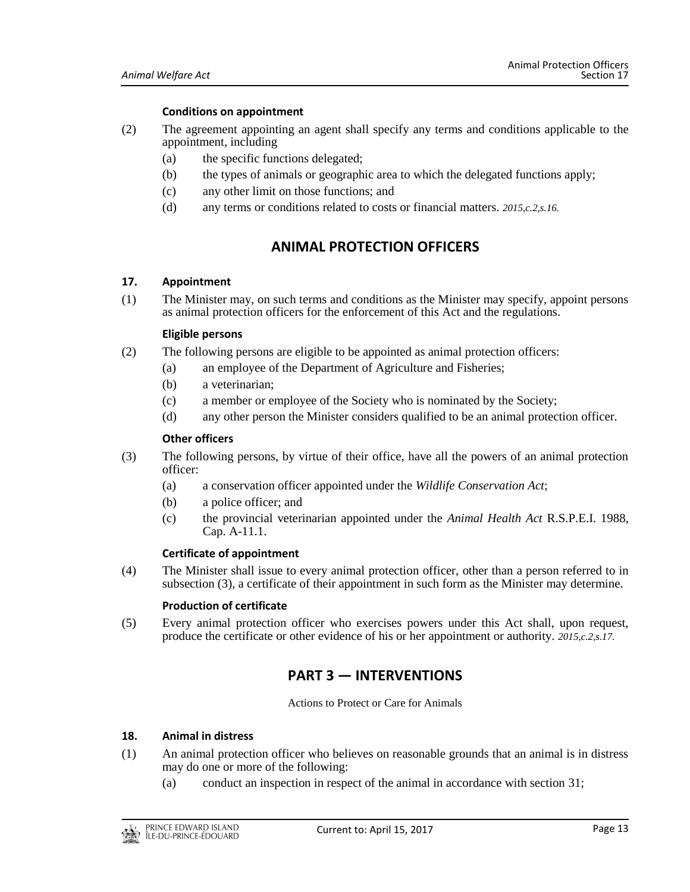### **Conditions on appointment**

- (2) The agreement appointing an agent shall specify any terms and conditions applicable to the appointment, including
	- (a) the specific functions delegated;
	- (b) the types of animals or geographic area to which the delegated functions apply;
	- (c) any other limit on those functions; and
	- (d) any terms or conditions related to costs or financial matters. *2015,c.2,s.16.*

# **ANIMAL PROTECTION OFFICERS**

#### <span id="page-12-1"></span><span id="page-12-0"></span>**17. Appointment**

(1) The Minister may, on such terms and conditions as the Minister may specify, appoint persons as animal protection officers for the enforcement of this Act and the regulations.

#### **Eligible persons**

- (2) The following persons are eligible to be appointed as animal protection officers:
	- (a) an employee of the Department of Agriculture and Fisheries;
	- (b) a veterinarian;
	- (c) a member or employee of the Society who is nominated by the Society;
	- (d) any other person the Minister considers qualified to be an animal protection officer.

#### **Other officers**

- (3) The following persons, by virtue of their office, have all the powers of an animal protection officer:
	- (a) a conservation officer appointed under the *Wildlife Conservation Act*;
	- (b) a police officer; and
	- (c) the provincial veterinarian appointed under the *Animal Health Act* R.S.P.E.I. 1988, Cap. A-11.1.

#### **Certificate of appointment**

(4) The Minister shall issue to every animal protection officer, other than a person referred to in subsection (3), a certificate of their appointment in such form as the Minister may determine.

#### **Production of certificate**

<span id="page-12-2"></span>(5) Every animal protection officer who exercises powers under this Act shall, upon request, produce the certificate or other evidence of his or her appointment or authority. *2015,c.2,s.17.*

# **PART 3 — INTERVENTIONS**

Actions to Protect or Care for Animals

#### <span id="page-12-3"></span>**18. Animal in distress**

- (1) An animal protection officer who believes on reasonable grounds that an animal is in distress may do one or more of the following:
	- (a) conduct an inspection in respect of the animal in accordance with section 31;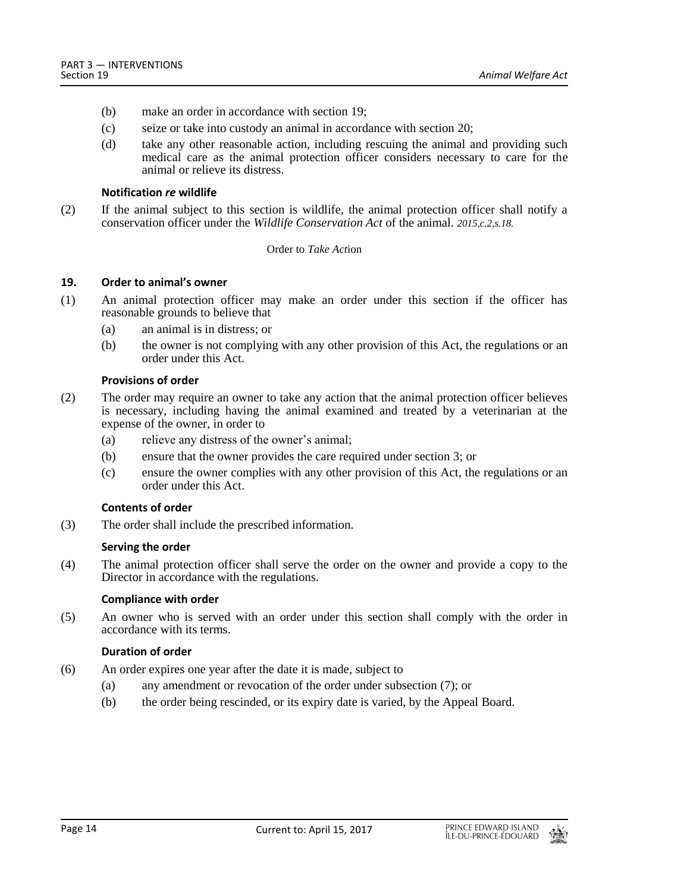- (b) make an order in accordance with section 19;
- (c) seize or take into custody an animal in accordance with section 20;
- (d) take any other reasonable action, including rescuing the animal and providing such medical care as the animal protection officer considers necessary to care for the animal or relieve its distress.

#### **Notification** *re* **wildlife**

(2) If the animal subject to this section is wildlife, the animal protection officer shall notify a conservation officer under the *Wildlife Conservation Act* of the animal. *2015,c.2,s.18.*

#### Order to *Take Act*ion

#### <span id="page-13-0"></span>**19. Order to animal's owner**

- (1) An animal protection officer may make an order under this section if the officer has reasonable grounds to believe that
	- (a) an animal is in distress; or
	- (b) the owner is not complying with any other provision of this Act, the regulations or an order under this Act.

#### **Provisions of order**

- (2) The order may require an owner to take any action that the animal protection officer believes is necessary, including having the animal examined and treated by a veterinarian at the expense of the owner, in order to
	- (a) relieve any distress of the owner's animal;
	- (b) ensure that the owner provides the care required under section 3; or
	- (c) ensure the owner complies with any other provision of this Act, the regulations or an order under this Act.

# **Contents of order**

(3) The order shall include the prescribed information.

#### **Serving the order**

(4) The animal protection officer shall serve the order on the owner and provide a copy to the Director in accordance with the regulations.

#### **Compliance with order**

(5) An owner who is served with an order under this section shall comply with the order in accordance with its terms.

#### **Duration of order**

- (6) An order expires one year after the date it is made, subject to
	- (a) any amendment or revocation of the order under subsection (7); or
	- (b) the order being rescinded, or its expiry date is varied, by the Appeal Board.

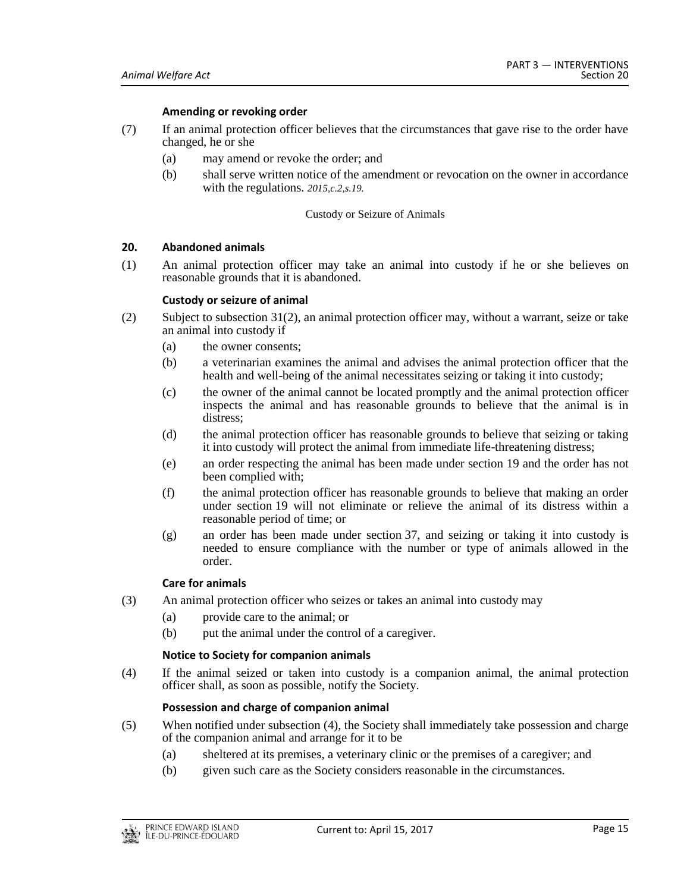#### **Amending or revoking order**

- (7) If an animal protection officer believes that the circumstances that gave rise to the order have changed, he or she
	- (a) may amend or revoke the order; and
	- (b) shall serve written notice of the amendment or revocation on the owner in accordance with the regulations. *2015,c.2,s.19.*

#### Custody or Seizure of Animals

# <span id="page-14-0"></span>**20. Abandoned animals**

(1) An animal protection officer may take an animal into custody if he or she believes on reasonable grounds that it is abandoned.

#### **Custody or seizure of animal**

- (2) Subject to subsection 31(2), an animal protection officer may, without a warrant, seize or take an animal into custody if
	- (a) the owner consents;
	- (b) a veterinarian examines the animal and advises the animal protection officer that the health and well-being of the animal necessitates seizing or taking it into custody;
	- (c) the owner of the animal cannot be located promptly and the animal protection officer inspects the animal and has reasonable grounds to believe that the animal is in distress;
	- (d) the animal protection officer has reasonable grounds to believe that seizing or taking it into custody will protect the animal from immediate life-threatening distress;
	- (e) an order respecting the animal has been made under section 19 and the order has not been complied with;
	- (f) the animal protection officer has reasonable grounds to believe that making an order under section 19 will not eliminate or relieve the animal of its distress within a reasonable period of time; or
	- (g) an order has been made under section 37, and seizing or taking it into custody is needed to ensure compliance with the number or type of animals allowed in the order.

#### **Care for animals**

- (3) An animal protection officer who seizes or takes an animal into custody may
	- (a) provide care to the animal; or
	- (b) put the animal under the control of a caregiver.

#### **Notice to Society for companion animals**

(4) If the animal seized or taken into custody is a companion animal, the animal protection officer shall, as soon as possible, notify the Society.

#### **Possession and charge of companion animal**

- (5) When notified under subsection (4), the Society shall immediately take possession and charge of the companion animal and arrange for it to be
	- (a) sheltered at its premises, a veterinary clinic or the premises of a caregiver; and
	- (b) given such care as the Society considers reasonable in the circumstances.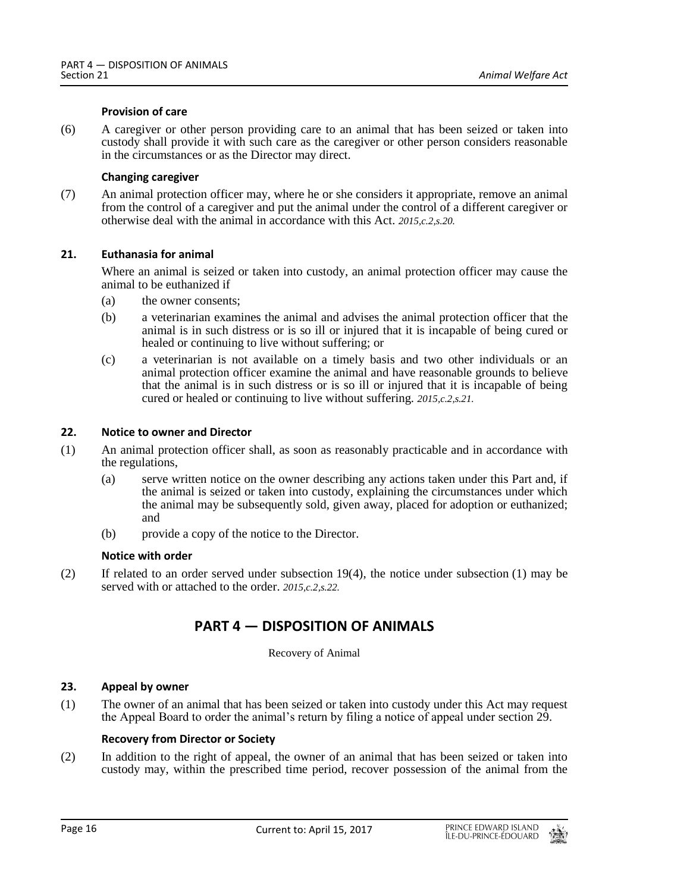#### **Provision of care**

(6) A caregiver or other person providing care to an animal that has been seized or taken into custody shall provide it with such care as the caregiver or other person considers reasonable in the circumstances or as the Director may direct.

# **Changing caregiver**

(7) An animal protection officer may, where he or she considers it appropriate, remove an animal from the control of a caregiver and put the animal under the control of a different caregiver or otherwise deal with the animal in accordance with this Act. *2015,c.2,s.20.*

# <span id="page-15-0"></span>**21. Euthanasia for animal**

Where an animal is seized or taken into custody, an animal protection officer may cause the animal to be euthanized if

- (a) the owner consents;
- (b) a veterinarian examines the animal and advises the animal protection officer that the animal is in such distress or is so ill or injured that it is incapable of being cured or healed or continuing to live without suffering; or
- (c) a veterinarian is not available on a timely basis and two other individuals or an animal protection officer examine the animal and have reasonable grounds to believe that the animal is in such distress or is so ill or injured that it is incapable of being cured or healed or continuing to live without suffering. *2015,c.2,s.21.*

# <span id="page-15-1"></span>**22. Notice to owner and Director**

- (1) An animal protection officer shall, as soon as reasonably practicable and in accordance with the regulations,
	- (a) serve written notice on the owner describing any actions taken under this Part and, if the animal is seized or taken into custody, explaining the circumstances under which the animal may be subsequently sold, given away, placed for adoption or euthanized; and
	- (b) provide a copy of the notice to the Director.

#### **Notice with order**

<span id="page-15-2"></span>(2) If related to an order served under subsection 19(4), the notice under subsection (1) may be served with or attached to the order. *2015,c.2,s.22.*

# **PART 4 — DISPOSITION OF ANIMALS**

Recovery of Animal

# <span id="page-15-3"></span>**23. Appeal by owner**

(1) The owner of an animal that has been seized or taken into custody under this Act may request the Appeal Board to order the animal's return by filing a notice of appeal under section 29.

# **Recovery from Director or Society**

(2) In addition to the right of appeal, the owner of an animal that has been seized or taken into custody may, within the prescribed time period, recover possession of the animal from the

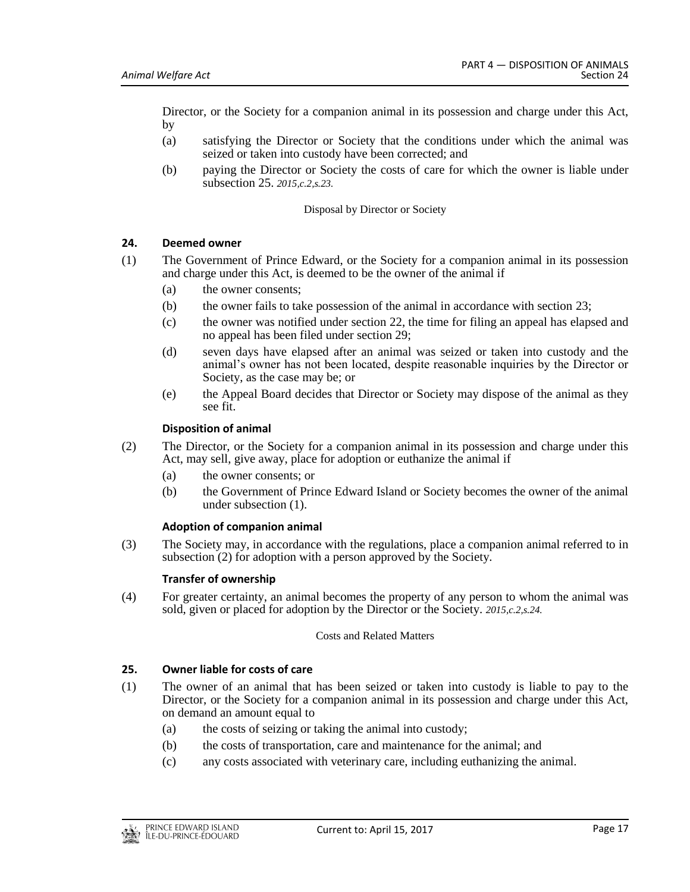Director, or the Society for a companion animal in its possession and charge under this Act, by

- (a) satisfying the Director or Society that the conditions under which the animal was seized or taken into custody have been corrected; and
- (b) paying the Director or Society the costs of care for which the owner is liable under subsection 25. *2015,c.2,s.23.*

### Disposal by Director or Society

# <span id="page-16-0"></span>**24. Deemed owner**

- (1) The Government of Prince Edward, or the Society for a companion animal in its possession and charge under this Act, is deemed to be the owner of the animal if
	- (a) the owner consents;
	- (b) the owner fails to take possession of the animal in accordance with section 23;
	- (c) the owner was notified under section 22, the time for filing an appeal has elapsed and no appeal has been filed under section 29;
	- (d) seven days have elapsed after an animal was seized or taken into custody and the animal's owner has not been located, despite reasonable inquiries by the Director or Society, as the case may be; or
	- (e) the Appeal Board decides that Director or Society may dispose of the animal as they see fit.

#### **Disposition of animal**

- (2) The Director, or the Society for a companion animal in its possession and charge under this Act, may sell, give away, place for adoption or euthanize the animal if
	- (a) the owner consents; or
	- (b) the Government of Prince Edward Island or Society becomes the owner of the animal under subsection (1).

#### **Adoption of companion animal**

(3) The Society may, in accordance with the regulations, place a companion animal referred to in subsection (2) for adoption with a person approved by the Society.

#### **Transfer of ownership**

(4) For greater certainty, an animal becomes the property of any person to whom the animal was sold, given or placed for adoption by the Director or the Society. *2015,c.2,s.24.*

#### Costs and Related Matters

# <span id="page-16-1"></span>**25. Owner liable for costs of care**

- (1) The owner of an animal that has been seized or taken into custody is liable to pay to the Director, or the Society for a companion animal in its possession and charge under this Act, on demand an amount equal to
	- (a) the costs of seizing or taking the animal into custody;
	- (b) the costs of transportation, care and maintenance for the animal; and
	- (c) any costs associated with veterinary care, including euthanizing the animal.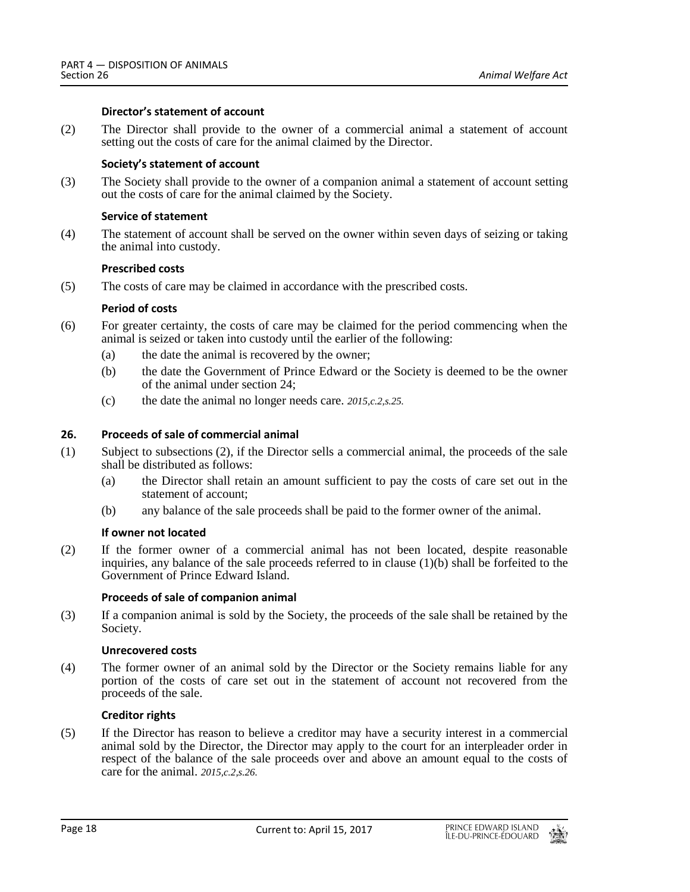# **Director's statement of account**

(2) The Director shall provide to the owner of a commercial animal a statement of account setting out the costs of care for the animal claimed by the Director.

# **Society's statement of account**

(3) The Society shall provide to the owner of a companion animal a statement of account setting out the costs of care for the animal claimed by the Society.

# **Service of statement**

(4) The statement of account shall be served on the owner within seven days of seizing or taking the animal into custody.

# **Prescribed costs**

(5) The costs of care may be claimed in accordance with the prescribed costs.

# **Period of costs**

- (6) For greater certainty, the costs of care may be claimed for the period commencing when the animal is seized or taken into custody until the earlier of the following:
	- (a) the date the animal is recovered by the owner;
	- (b) the date the Government of Prince Edward or the Society is deemed to be the owner of the animal under section 24;
	- (c) the date the animal no longer needs care. *2015,c.2,s.25.*

# <span id="page-17-0"></span>**26. Proceeds of sale of commercial animal**

- (1) Subject to subsections (2), if the Director sells a commercial animal, the proceeds of the sale shall be distributed as follows:
	- (a) the Director shall retain an amount sufficient to pay the costs of care set out in the statement of account;
	- (b) any balance of the sale proceeds shall be paid to the former owner of the animal.

# **If owner not located**

(2) If the former owner of a commercial animal has not been located, despite reasonable inquiries, any balance of the sale proceeds referred to in clause (1)(b) shall be forfeited to the Government of Prince Edward Island.

#### **Proceeds of sale of companion animal**

(3) If a companion animal is sold by the Society, the proceeds of the sale shall be retained by the Society.

# **Unrecovered costs**

(4) The former owner of an animal sold by the Director or the Society remains liable for any portion of the costs of care set out in the statement of account not recovered from the proceeds of the sale.

#### **Creditor rights**

(5) If the Director has reason to believe a creditor may have a security interest in a commercial animal sold by the Director, the Director may apply to the court for an interpleader order in respect of the balance of the sale proceeds over and above an amount equal to the costs of care for the animal. *2015,c.2,s.26.*

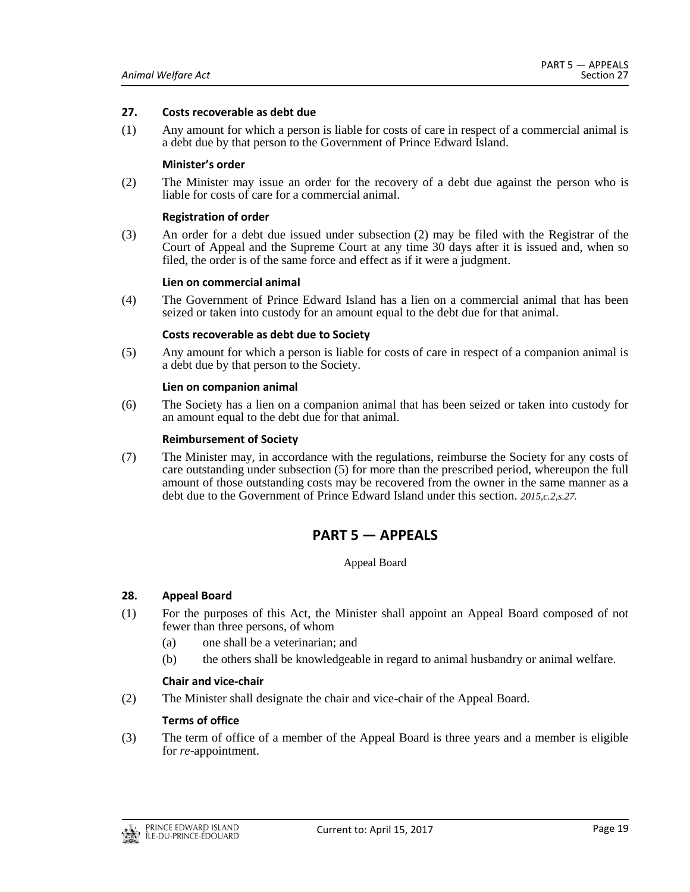#### <span id="page-18-0"></span>**27. Costs recoverable as debt due**

(1) Any amount for which a person is liable for costs of care in respect of a commercial animal is a debt due by that person to the Government of Prince Edward Island.

### **Minister's order**

(2) The Minister may issue an order for the recovery of a debt due against the person who is liable for costs of care for a commercial animal.

#### **Registration of order**

(3) An order for a debt due issued under subsection (2) may be filed with the Registrar of the Court of Appeal and the Supreme Court at any time 30 days after it is issued and, when so filed, the order is of the same force and effect as if it were a judgment.

#### **Lien on commercial animal**

(4) The Government of Prince Edward Island has a lien on a commercial animal that has been seized or taken into custody for an amount equal to the debt due for that animal.

#### **Costs recoverable as debt due to Society**

(5) Any amount for which a person is liable for costs of care in respect of a companion animal is a debt due by that person to the Society.

#### **Lien on companion animal**

(6) The Society has a lien on a companion animal that has been seized or taken into custody for an amount equal to the debt due for that animal.

#### **Reimbursement of Society**

<span id="page-18-1"></span>(7) The Minister may, in accordance with the regulations, reimburse the Society for any costs of care outstanding under subsection (5) for more than the prescribed period, whereupon the full amount of those outstanding costs may be recovered from the owner in the same manner as a debt due to the Government of Prince Edward Island under this section. *2015,c.2,s.27.*

# **PART 5 — APPEALS**

#### Appeal Board

#### <span id="page-18-2"></span>**28. Appeal Board**

- (1) For the purposes of this Act, the Minister shall appoint an Appeal Board composed of not fewer than three persons, of whom
	- (a) one shall be a veterinarian; and
	- (b) the others shall be knowledgeable in regard to animal husbandry or animal welfare.

#### **Chair and vice-chair**

(2) The Minister shall designate the chair and vice-chair of the Appeal Board.

#### **Terms of office**

(3) The term of office of a member of the Appeal Board is three years and a member is eligible for *re*-appointment.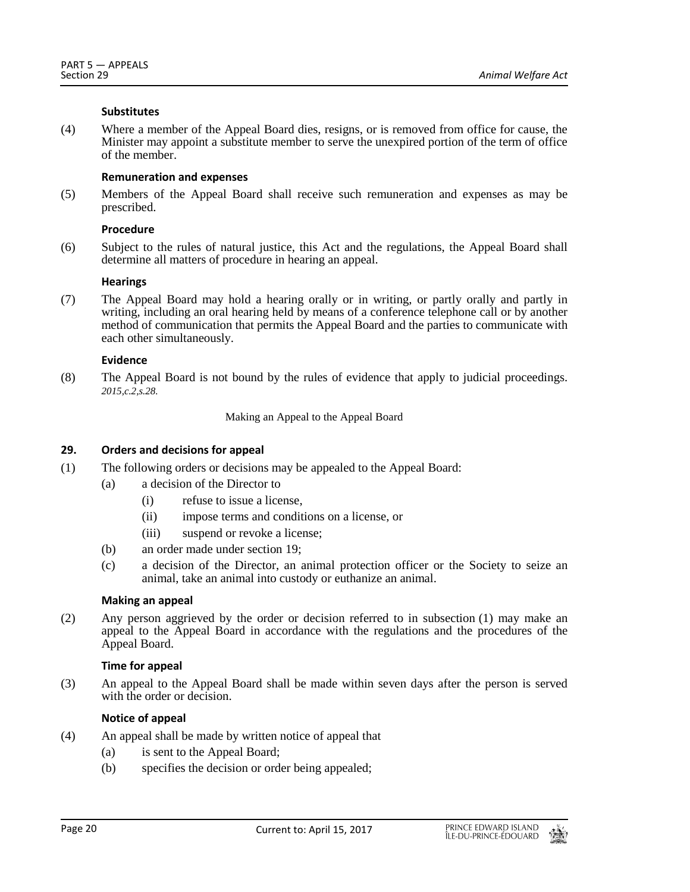# **Substitutes**

(4) Where a member of the Appeal Board dies, resigns, or is removed from office for cause, the Minister may appoint a substitute member to serve the unexpired portion of the term of office of the member.

# **Remuneration and expenses**

(5) Members of the Appeal Board shall receive such remuneration and expenses as may be prescribed.

# **Procedure**

(6) Subject to the rules of natural justice, this Act and the regulations, the Appeal Board shall determine all matters of procedure in hearing an appeal.

# **Hearings**

(7) The Appeal Board may hold a hearing orally or in writing, or partly orally and partly in writing, including an oral hearing held by means of a conference telephone call or by another method of communication that permits the Appeal Board and the parties to communicate with each other simultaneously.

# **Evidence**

(8) The Appeal Board is not bound by the rules of evidence that apply to judicial proceedings. *2015,c.2,s.28.*

Making an Appeal to the Appeal Board

# <span id="page-19-0"></span>**29. Orders and decisions for appeal**

- (1) The following orders or decisions may be appealed to the Appeal Board:
	- (a) a decision of the Director to
		- (i) refuse to issue a license,
		- (ii) impose terms and conditions on a license, or
		- (iii) suspend or revoke a license;
	- (b) an order made under section 19;
	- (c) a decision of the Director, an animal protection officer or the Society to seize an animal, take an animal into custody or euthanize an animal.

# **Making an appeal**

(2) Any person aggrieved by the order or decision referred to in subsection (1) may make an appeal to the Appeal Board in accordance with the regulations and the procedures of the Appeal Board.

# **Time for appeal**

(3) An appeal to the Appeal Board shall be made within seven days after the person is served with the order or decision.

# **Notice of appeal**

- (4) An appeal shall be made by written notice of appeal that
	- (a) is sent to the Appeal Board;
	- (b) specifies the decision or order being appealed;

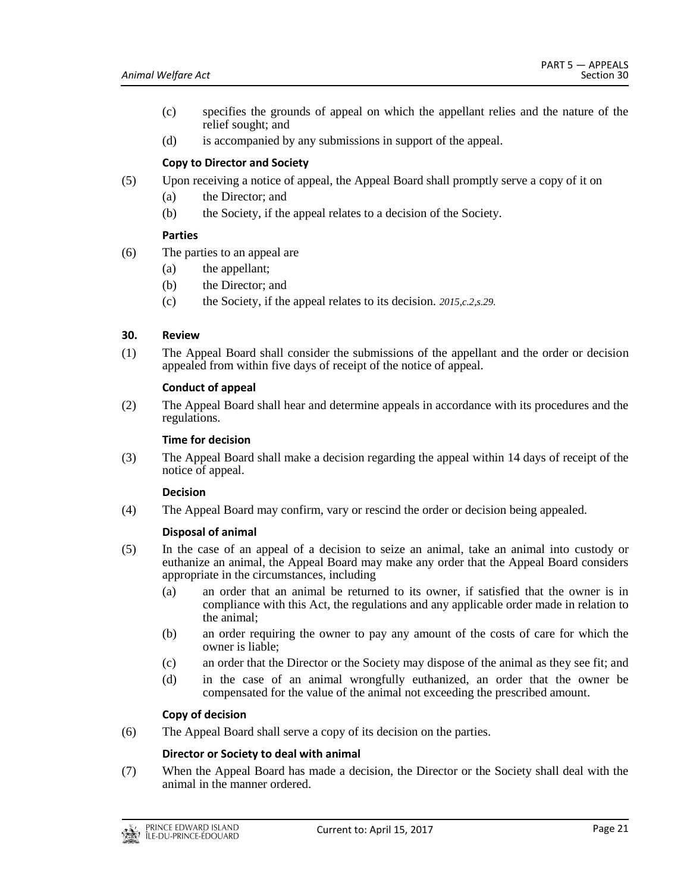- (c) specifies the grounds of appeal on which the appellant relies and the nature of the relief sought; and
- (d) is accompanied by any submissions in support of the appeal.

# **Copy to Director and Society**

- (5) Upon receiving a notice of appeal, the Appeal Board shall promptly serve a copy of it on
	- (a) the Director; and
	- (b) the Society, if the appeal relates to a decision of the Society.

# **Parties**

- (6) The parties to an appeal are
	- (a) the appellant;
	- (b) the Director; and
	- (c) the Society, if the appeal relates to its decision. *2015,c.2,s.29.*

# <span id="page-20-0"></span>**30. Review**

(1) The Appeal Board shall consider the submissions of the appellant and the order or decision appealed from within five days of receipt of the notice of appeal.

# **Conduct of appeal**

(2) The Appeal Board shall hear and determine appeals in accordance with its procedures and the regulations.

# **Time for decision**

(3) The Appeal Board shall make a decision regarding the appeal within 14 days of receipt of the notice of appeal.

# **Decision**

(4) The Appeal Board may confirm, vary or rescind the order or decision being appealed.

# **Disposal of animal**

- (5) In the case of an appeal of a decision to seize an animal, take an animal into custody or euthanize an animal, the Appeal Board may make any order that the Appeal Board considers appropriate in the circumstances, including
	- (a) an order that an animal be returned to its owner, if satisfied that the owner is in compliance with this Act, the regulations and any applicable order made in relation to the animal;
	- (b) an order requiring the owner to pay any amount of the costs of care for which the owner is liable;
	- (c) an order that the Director or the Society may dispose of the animal as they see fit; and
	- (d) in the case of an animal wrongfully euthanized, an order that the owner be compensated for the value of the animal not exceeding the prescribed amount.

# **Copy of decision**

(6) The Appeal Board shall serve a copy of its decision on the parties.

# **Director or Society to deal with animal**

(7) When the Appeal Board has made a decision, the Director or the Society shall deal with the animal in the manner ordered.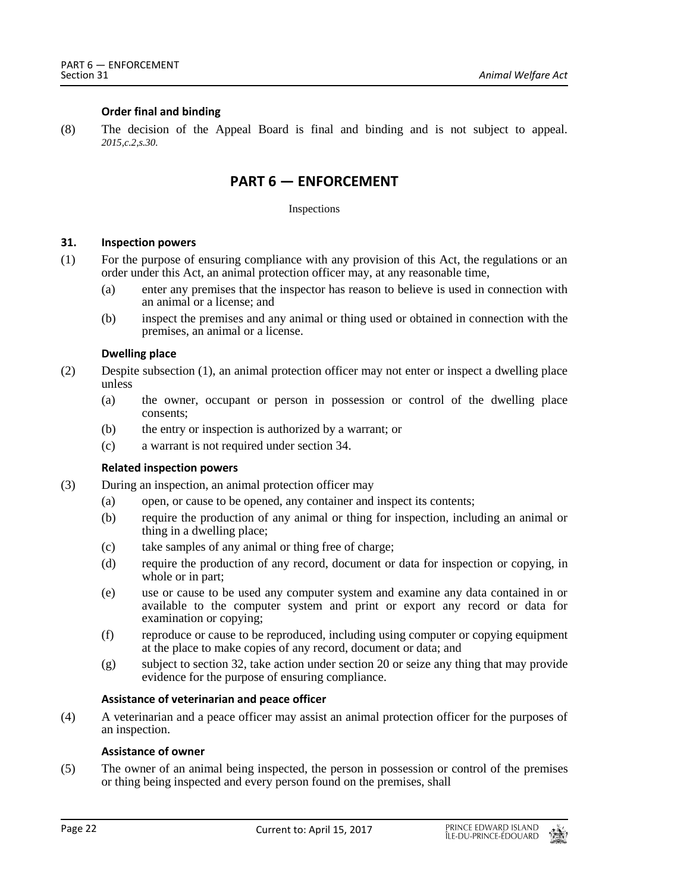# **Order final and binding**

<span id="page-21-0"></span>(8) The decision of the Appeal Board is final and binding and is not subject to appeal. *2015,c.2,s.30.*

# **PART 6 — ENFORCEMENT**

#### Inspections

# <span id="page-21-1"></span>**31. Inspection powers**

- (1) For the purpose of ensuring compliance with any provision of this Act, the regulations or an order under this Act, an animal protection officer may, at any reasonable time,
	- (a) enter any premises that the inspector has reason to believe is used in connection with an animal or a license; and
	- (b) inspect the premises and any animal or thing used or obtained in connection with the premises, an animal or a license.

#### **Dwelling place**

- (2) Despite subsection (1), an animal protection officer may not enter or inspect a dwelling place unless
	- (a) the owner, occupant or person in possession or control of the dwelling place consents;
	- (b) the entry or inspection is authorized by a warrant; or
	- (c) a warrant is not required under section 34.

#### **Related inspection powers**

- (3) During an inspection, an animal protection officer may
	- (a) open, or cause to be opened, any container and inspect its contents;
	- (b) require the production of any animal or thing for inspection, including an animal or thing in a dwelling place;
	- (c) take samples of any animal or thing free of charge;
	- (d) require the production of any record, document or data for inspection or copying, in whole or in part;
	- (e) use or cause to be used any computer system and examine any data contained in or available to the computer system and print or export any record or data for examination or copying;
	- (f) reproduce or cause to be reproduced, including using computer or copying equipment at the place to make copies of any record, document or data; and
	- (g) subject to section 32, take action under section 20 or seize any thing that may provide evidence for the purpose of ensuring compliance.

#### **Assistance of veterinarian and peace officer**

(4) A veterinarian and a peace officer may assist an animal protection officer for the purposes of an inspection.

#### **Assistance of owner**

(5) The owner of an animal being inspected, the person in possession or control of the premises or thing being inspected and every person found on the premises, shall

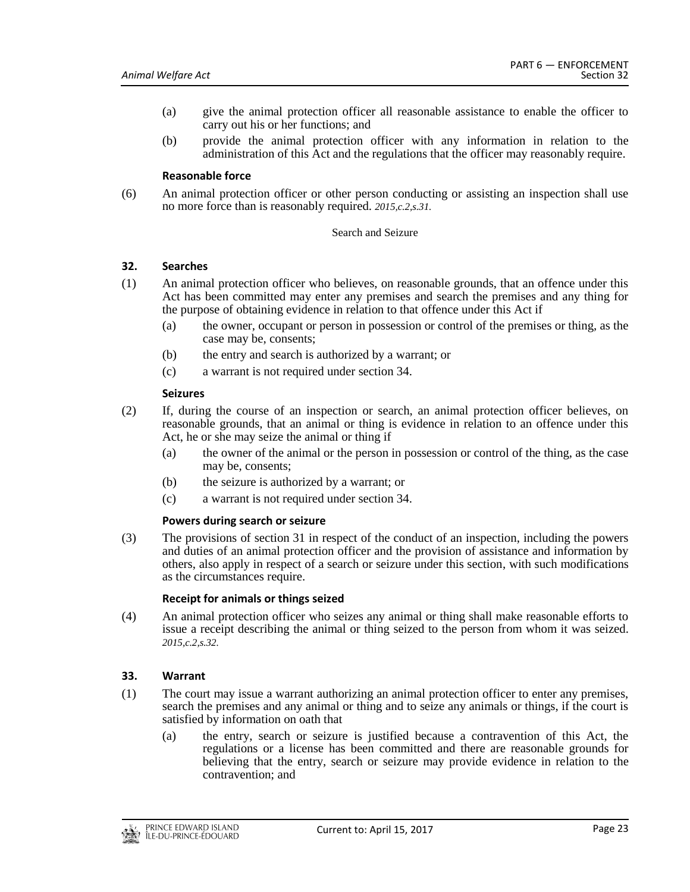- (a) give the animal protection officer all reasonable assistance to enable the officer to carry out his or her functions; and
- (b) provide the animal protection officer with any information in relation to the administration of this Act and the regulations that the officer may reasonably require.

### **Reasonable force**

(6) An animal protection officer or other person conducting or assisting an inspection shall use no more force than is reasonably required. *2015,c.2,s.31.*

#### Search and Seizure

# <span id="page-22-0"></span>**32. Searches**

- (1) An animal protection officer who believes, on reasonable grounds, that an offence under this Act has been committed may enter any premises and search the premises and any thing for the purpose of obtaining evidence in relation to that offence under this Act if
	- (a) the owner, occupant or person in possession or control of the premises or thing, as the case may be, consents;
	- (b) the entry and search is authorized by a warrant; or
	- (c) a warrant is not required under section 34.

#### **Seizures**

- (2) If, during the course of an inspection or search, an animal protection officer believes, on reasonable grounds, that an animal or thing is evidence in relation to an offence under this Act, he or she may seize the animal or thing if
	- (a) the owner of the animal or the person in possession or control of the thing, as the case may be, consents;
	- (b) the seizure is authorized by a warrant; or
	- (c) a warrant is not required under section 34.

#### **Powers during search or seizure**

(3) The provisions of section 31 in respect of the conduct of an inspection, including the powers and duties of an animal protection officer and the provision of assistance and information by others, also apply in respect of a search or seizure under this section, with such modifications as the circumstances require.

#### **Receipt for animals or things seized**

(4) An animal protection officer who seizes any animal or thing shall make reasonable efforts to issue a receipt describing the animal or thing seized to the person from whom it was seized. *2015,c.2,s.32.*

# <span id="page-22-1"></span>**33. Warrant**

- (1) The court may issue a warrant authorizing an animal protection officer to enter any premises, search the premises and any animal or thing and to seize any animals or things, if the court is satisfied by information on oath that
	- (a) the entry, search or seizure is justified because a contravention of this Act, the regulations or a license has been committed and there are reasonable grounds for believing that the entry, search or seizure may provide evidence in relation to the contravention; and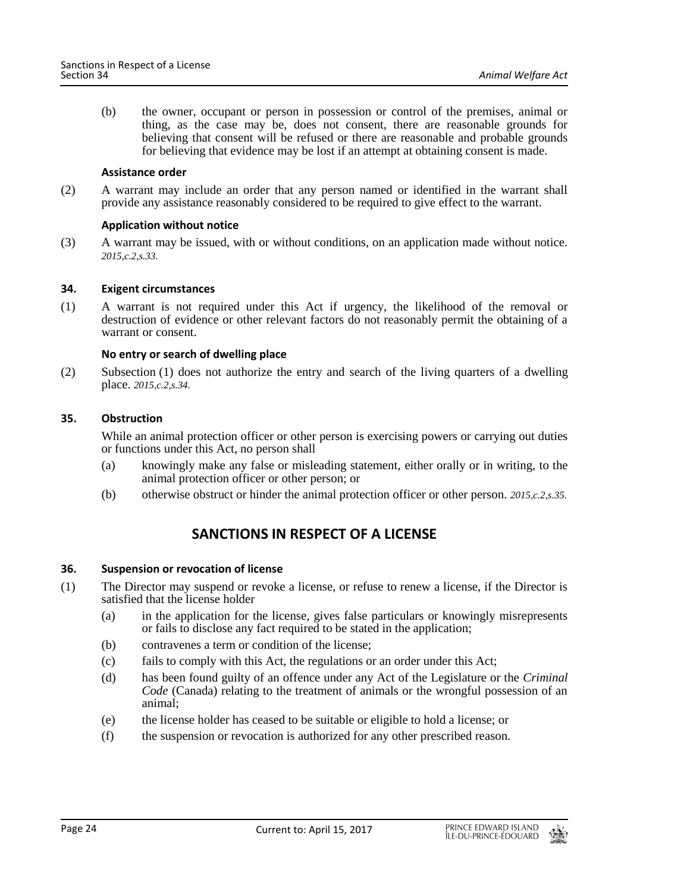(b) the owner, occupant or person in possession or control of the premises, animal or thing, as the case may be, does not consent, there are reasonable grounds for believing that consent will be refused or there are reasonable and probable grounds for believing that evidence may be lost if an attempt at obtaining consent is made.

#### **Assistance order**

(2) A warrant may include an order that any person named or identified in the warrant shall provide any assistance reasonably considered to be required to give effect to the warrant.

# **Application without notice**

(3) A warrant may be issued, with or without conditions, on an application made without notice. *2015,c.2,s.33.*

# <span id="page-23-0"></span>**34. Exigent circumstances**

(1) A warrant is not required under this Act if urgency, the likelihood of the removal or destruction of evidence or other relevant factors do not reasonably permit the obtaining of a warrant or consent.

# **No entry or search of dwelling place**

(2) Subsection (1) does not authorize the entry and search of the living quarters of a dwelling place. *2015,c.2,s.34.*

# <span id="page-23-1"></span>**35. Obstruction**

While an animal protection officer or other person is exercising powers or carrying out duties or functions under this Act, no person shall

- (a) knowingly make any false or misleading statement, either orally or in writing, to the animal protection officer or other person; or
- <span id="page-23-2"></span>(b) otherwise obstruct or hinder the animal protection officer or other person. *2015,c.2,s.35.*

# **SANCTIONS IN RESPECT OF A LICENSE**

# <span id="page-23-3"></span>**36. Suspension or revocation of license**

- (1) The Director may suspend or revoke a license, or refuse to renew a license, if the Director is satisfied that the license holder
	- (a) in the application for the license, gives false particulars or knowingly misrepresents or fails to disclose any fact required to be stated in the application;
	- (b) contravenes a term or condition of the license;
	- (c) fails to comply with this Act, the regulations or an order under this Act;
	- (d) has been found guilty of an offence under any Act of the Legislature or the *Criminal Code* (Canada) relating to the treatment of animals or the wrongful possession of an animal;
	- (e) the license holder has ceased to be suitable or eligible to hold a license; or
	- (f) the suspension or revocation is authorized for any other prescribed reason.

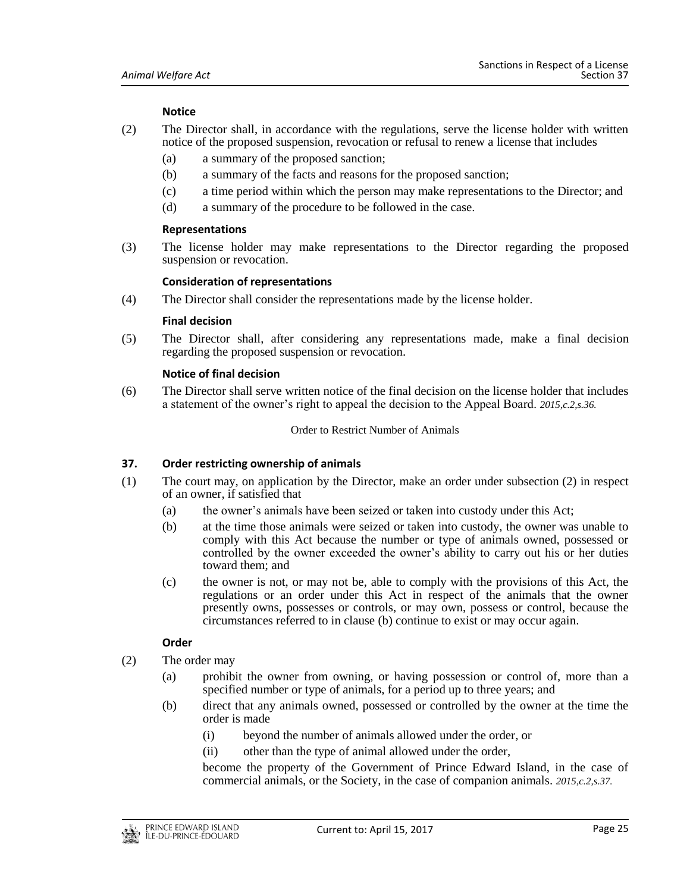# **Notice**

- (2) The Director shall, in accordance with the regulations, serve the license holder with written notice of the proposed suspension, revocation or refusal to renew a license that includes
	- (a) a summary of the proposed sanction;
	- (b) a summary of the facts and reasons for the proposed sanction;
	- (c) a time period within which the person may make representations to the Director; and
	- (d) a summary of the procedure to be followed in the case.

#### **Representations**

(3) The license holder may make representations to the Director regarding the proposed suspension or revocation.

#### **Consideration of representations**

(4) The Director shall consider the representations made by the license holder.

#### **Final decision**

(5) The Director shall, after considering any representations made, make a final decision regarding the proposed suspension or revocation.

#### **Notice of final decision**

(6) The Director shall serve written notice of the final decision on the license holder that includes a statement of the owner's right to appeal the decision to the Appeal Board. *2015,c.2,s.36.*

#### Order to Restrict Number of Animals

#### <span id="page-24-0"></span>**37. Order restricting ownership of animals**

- (1) The court may, on application by the Director, make an order under subsection (2) in respect of an owner, if satisfied that
	- (a) the owner's animals have been seized or taken into custody under this Act;
	- (b) at the time those animals were seized or taken into custody, the owner was unable to comply with this Act because the number or type of animals owned, possessed or controlled by the owner exceeded the owner's ability to carry out his or her duties toward them; and
	- (c) the owner is not, or may not be, able to comply with the provisions of this Act, the regulations or an order under this Act in respect of the animals that the owner presently owns, possesses or controls, or may own, possess or control, because the circumstances referred to in clause (b) continue to exist or may occur again.

# **Order**

- (2) The order may
	- (a) prohibit the owner from owning, or having possession or control of, more than a specified number or type of animals, for a period up to three years; and
	- (b) direct that any animals owned, possessed or controlled by the owner at the time the order is made
		- (i) beyond the number of animals allowed under the order, or
		- (ii) other than the type of animal allowed under the order,

become the property of the Government of Prince Edward Island, in the case of commercial animals, or the Society, in the case of companion animals. *2015,c.2,s.37.*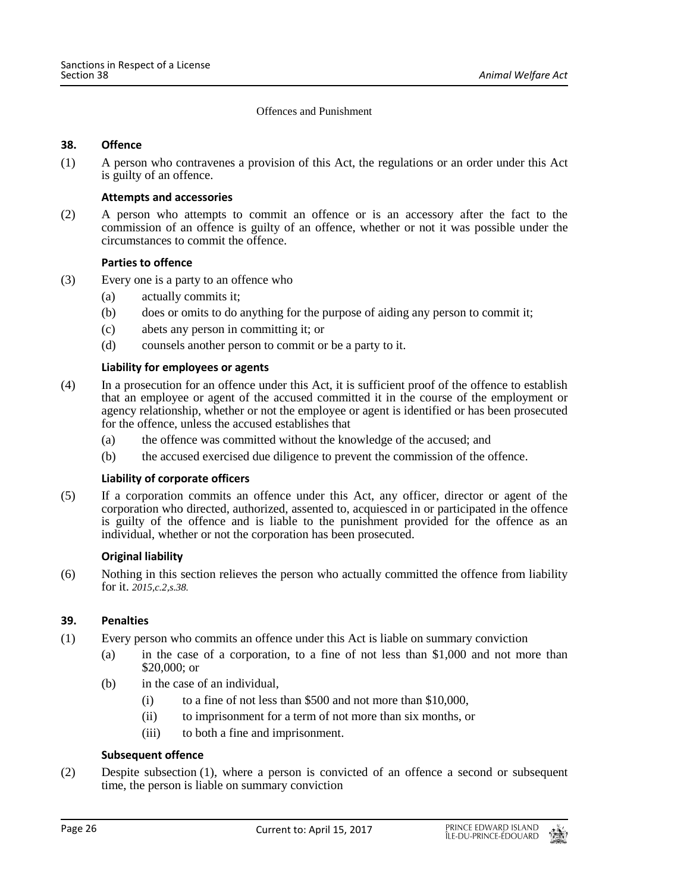Offences and Punishment

# <span id="page-25-0"></span>**38. Offence**

(1) A person who contravenes a provision of this Act, the regulations or an order under this Act is guilty of an offence.

# **Attempts and accessories**

(2) A person who attempts to commit an offence or is an accessory after the fact to the commission of an offence is guilty of an offence, whether or not it was possible under the circumstances to commit the offence.

# **Parties to offence**

- (3) Every one is a party to an offence who
	- (a) actually commits it;
	- (b) does or omits to do anything for the purpose of aiding any person to commit it;
	- (c) abets any person in committing it; or
	- (d) counsels another person to commit or be a party to it.

# **Liability for employees or agents**

- (4) In a prosecution for an offence under this Act, it is sufficient proof of the offence to establish that an employee or agent of the accused committed it in the course of the employment or agency relationship, whether or not the employee or agent is identified or has been prosecuted for the offence, unless the accused establishes that
	- (a) the offence was committed without the knowledge of the accused; and
	- (b) the accused exercised due diligence to prevent the commission of the offence.

#### **Liability of corporate officers**

(5) If a corporation commits an offence under this Act, any officer, director or agent of the corporation who directed, authorized, assented to, acquiesced in or participated in the offence is guilty of the offence and is liable to the punishment provided for the offence as an individual, whether or not the corporation has been prosecuted.

#### **Original liability**

(6) Nothing in this section relieves the person who actually committed the offence from liability for it. *2015,c.2,s.38.*

#### <span id="page-25-1"></span>**39. Penalties**

- (1) Every person who commits an offence under this Act is liable on summary conviction
	- (a) in the case of a corporation, to a fine of not less than \$1,000 and not more than \$20,000; or
	- (b) in the case of an individual,
		- (i) to a fine of not less than \$500 and not more than \$10,000,
		- (ii) to imprisonment for a term of not more than six months, or
		- (iii) to both a fine and imprisonment.

# **Subsequent offence**

(2) Despite subsection (1), where a person is convicted of an offence a second or subsequent time, the person is liable on summary conviction

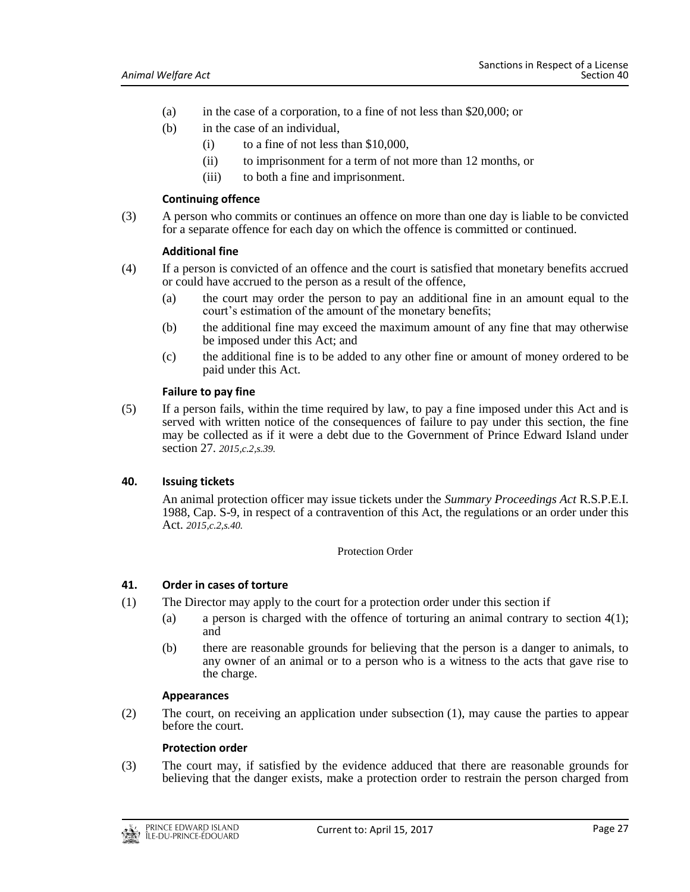- (a) in the case of a corporation, to a fine of not less than \$20,000; or
- (b) in the case of an individual,
	- (i) to a fine of not less than \$10,000,
	- (ii) to imprisonment for a term of not more than 12 months, or
	- (iii) to both a fine and imprisonment.

#### **Continuing offence**

(3) A person who commits or continues an offence on more than one day is liable to be convicted for a separate offence for each day on which the offence is committed or continued.

#### **Additional fine**

- (4) If a person is convicted of an offence and the court is satisfied that monetary benefits accrued or could have accrued to the person as a result of the offence,
	- (a) the court may order the person to pay an additional fine in an amount equal to the court's estimation of the amount of the monetary benefits;
	- (b) the additional fine may exceed the maximum amount of any fine that may otherwise be imposed under this Act; and
	- (c) the additional fine is to be added to any other fine or amount of money ordered to be paid under this Act.

# **Failure to pay fine**

(5) If a person fails, within the time required by law, to pay a fine imposed under this Act and is served with written notice of the consequences of failure to pay under this section, the fine may be collected as if it were a debt due to the Government of Prince Edward Island under section 27. *2015,c.2,s.39.*

# <span id="page-26-0"></span>**40. Issuing tickets**

An animal protection officer may issue tickets under the *Summary Proceedings Act* R.S.P.E.I. 1988, Cap. S-9, in respect of a contravention of this Act, the regulations or an order under this Act. *2015,c.2,s.40.*

Protection Order

# <span id="page-26-1"></span>**41. Order in cases of torture**

- (1) The Director may apply to the court for a protection order under this section if
	- (a) a person is charged with the offence of torturing an animal contrary to section  $4(1)$ ; and
	- (b) there are reasonable grounds for believing that the person is a danger to animals, to any owner of an animal or to a person who is a witness to the acts that gave rise to the charge.

#### **Appearances**

(2) The court, on receiving an application under subsection (1), may cause the parties to appear before the court.

#### **Protection order**

(3) The court may, if satisfied by the evidence adduced that there are reasonable grounds for believing that the danger exists, make a protection order to restrain the person charged from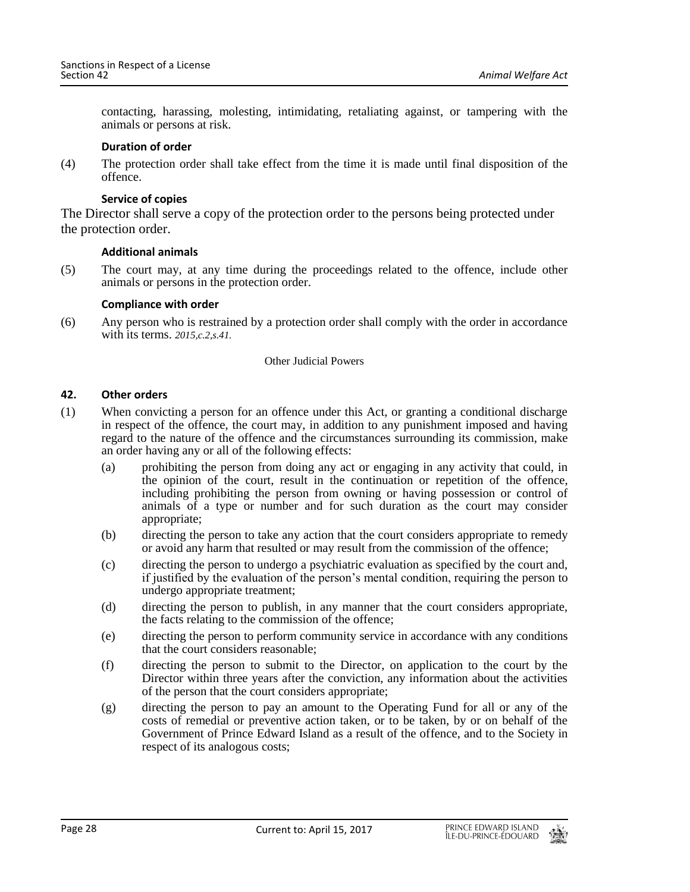contacting, harassing, molesting, intimidating, retaliating against, or tampering with the animals or persons at risk.

#### **Duration of order**

(4) The protection order shall take effect from the time it is made until final disposition of the offence.

# **Service of copies**

The Director shall serve a copy of the protection order to the persons being protected under the protection order.

# **Additional animals**

(5) The court may, at any time during the proceedings related to the offence, include other animals or persons in the protection order.

# **Compliance with order**

(6) Any person who is restrained by a protection order shall comply with the order in accordance with its terms. *2015,c.2,s.41.*

#### Other Judicial Powers

# <span id="page-27-0"></span>**42. Other orders**

- (1) When convicting a person for an offence under this Act, or granting a conditional discharge in respect of the offence, the court may, in addition to any punishment imposed and having regard to the nature of the offence and the circumstances surrounding its commission, make an order having any or all of the following effects:
	- (a) prohibiting the person from doing any act or engaging in any activity that could, in the opinion of the court, result in the continuation or repetition of the offence, including prohibiting the person from owning or having possession or control of animals of a type or number and for such duration as the court may consider appropriate;
	- (b) directing the person to take any action that the court considers appropriate to remedy or avoid any harm that resulted or may result from the commission of the offence;
	- (c) directing the person to undergo a psychiatric evaluation as specified by the court and, if justified by the evaluation of the person's mental condition, requiring the person to undergo appropriate treatment;
	- (d) directing the person to publish, in any manner that the court considers appropriate, the facts relating to the commission of the offence;
	- (e) directing the person to perform community service in accordance with any conditions that the court considers reasonable;
	- (f) directing the person to submit to the Director, on application to the court by the Director within three years after the conviction, any information about the activities of the person that the court considers appropriate;
	- (g) directing the person to pay an amount to the Operating Fund for all or any of the costs of remedial or preventive action taken, or to be taken, by or on behalf of the Government of Prince Edward Island as a result of the offence, and to the Society in respect of its analogous costs;

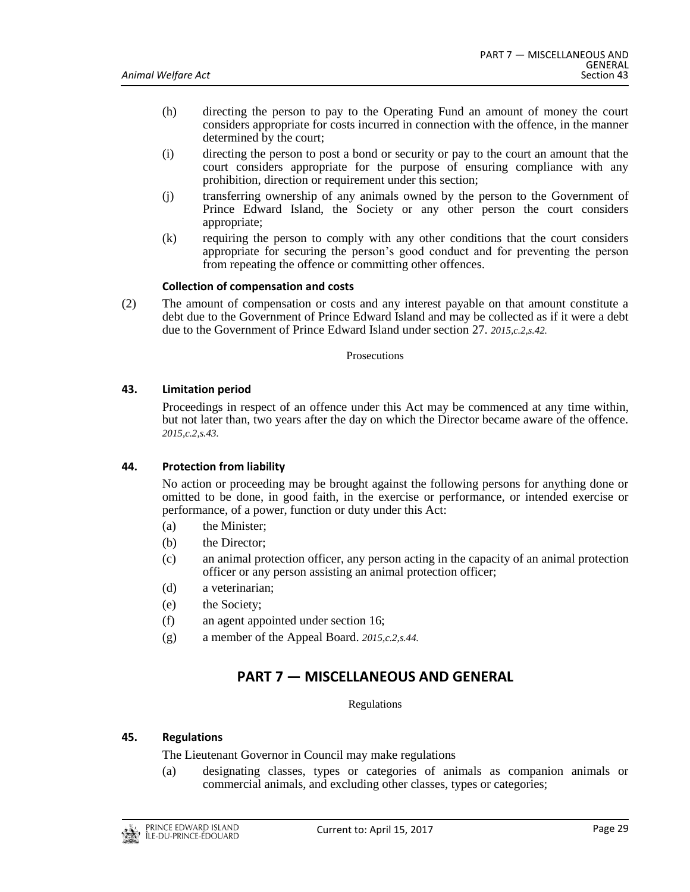- (h) directing the person to pay to the Operating Fund an amount of money the court considers appropriate for costs incurred in connection with the offence, in the manner determined by the court;
- (i) directing the person to post a bond or security or pay to the court an amount that the court considers appropriate for the purpose of ensuring compliance with any prohibition, direction or requirement under this section;
- (j) transferring ownership of any animals owned by the person to the Government of Prince Edward Island, the Society or any other person the court considers appropriate;
- (k) requiring the person to comply with any other conditions that the court considers appropriate for securing the person's good conduct and for preventing the person from repeating the offence or committing other offences.

# **Collection of compensation and costs**

(2) The amount of compensation or costs and any interest payable on that amount constitute a debt due to the Government of Prince Edward Island and may be collected as if it were a debt due to the Government of Prince Edward Island under section 27. *2015,c.2,s.42.*

#### Prosecutions

# <span id="page-28-0"></span>**43. Limitation period**

Proceedings in respect of an offence under this Act may be commenced at any time within, but not later than, two years after the day on which the Director became aware of the offence. *2015,c.2,s.43.*

#### <span id="page-28-1"></span>**44. Protection from liability**

No action or proceeding may be brought against the following persons for anything done or omitted to be done, in good faith, in the exercise or performance, or intended exercise or performance, of a power, function or duty under this Act:

- (a) the Minister;
- (b) the Director;
- (c) an animal protection officer, any person acting in the capacity of an animal protection officer or any person assisting an animal protection officer;
- (d) a veterinarian;
- (e) the Society;
- (f) an agent appointed under section 16;
- <span id="page-28-2"></span>(g) a member of the Appeal Board. *2015,c.2,s.44.*

# **PART 7 — MISCELLANEOUS AND GENERAL**

Regulations

# <span id="page-28-3"></span>**45. Regulations**

The Lieutenant Governor in Council may make regulations

(a) designating classes, types or categories of animals as companion animals or commercial animals, and excluding other classes, types or categories;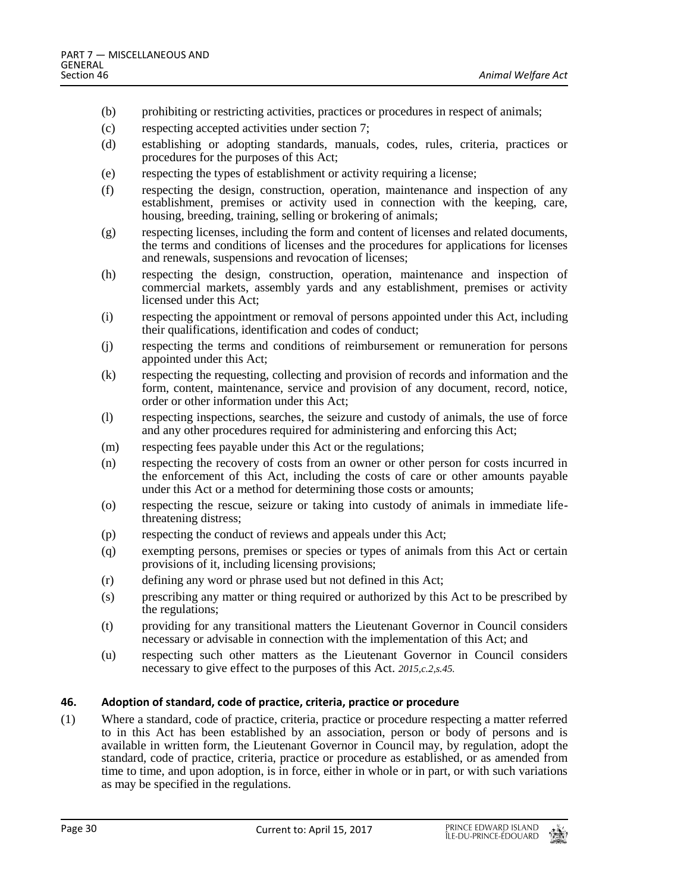- (b) prohibiting or restricting activities, practices or procedures in respect of animals;
- (c) respecting accepted activities under section 7;
- (d) establishing or adopting standards, manuals, codes, rules, criteria, practices or procedures for the purposes of this Act;
- (e) respecting the types of establishment or activity requiring a license;
- (f) respecting the design, construction, operation, maintenance and inspection of any establishment, premises or activity used in connection with the keeping, care, housing, breeding, training, selling or brokering of animals;
- (g) respecting licenses, including the form and content of licenses and related documents, the terms and conditions of licenses and the procedures for applications for licenses and renewals, suspensions and revocation of licenses;
- (h) respecting the design, construction, operation, maintenance and inspection of commercial markets, assembly yards and any establishment, premises or activity licensed under this Act;
- (i) respecting the appointment or removal of persons appointed under this Act, including their qualifications, identification and codes of conduct;
- (j) respecting the terms and conditions of reimbursement or remuneration for persons appointed under this Act;
- (k) respecting the requesting, collecting and provision of records and information and the form, content, maintenance, service and provision of any document, record, notice, order or other information under this Act;
- (l) respecting inspections, searches, the seizure and custody of animals, the use of force and any other procedures required for administering and enforcing this Act;
- (m) respecting fees payable under this Act or the regulations;
- (n) respecting the recovery of costs from an owner or other person for costs incurred in the enforcement of this Act, including the costs of care or other amounts payable under this Act or a method for determining those costs or amounts;
- (o) respecting the rescue, seizure or taking into custody of animals in immediate lifethreatening distress;
- (p) respecting the conduct of reviews and appeals under this Act;
- (q) exempting persons, premises or species or types of animals from this Act or certain provisions of it, including licensing provisions;
- (r) defining any word or phrase used but not defined in this Act;
- (s) prescribing any matter or thing required or authorized by this Act to be prescribed by the regulations;
- (t) providing for any transitional matters the Lieutenant Governor in Council considers necessary or advisable in connection with the implementation of this Act; and
- (u) respecting such other matters as the Lieutenant Governor in Council considers necessary to give effect to the purposes of this Act. *2015,c.2,s.45.*

#### <span id="page-29-0"></span>**46. Adoption of standard, code of practice, criteria, practice or procedure**

(1) Where a standard, code of practice, criteria, practice or procedure respecting a matter referred to in this Act has been established by an association, person or body of persons and is available in written form, the Lieutenant Governor in Council may, by regulation, adopt the standard, code of practice, criteria, practice or procedure as established, or as amended from time to time, and upon adoption, is in force, either in whole or in part, or with such variations as may be specified in the regulations.